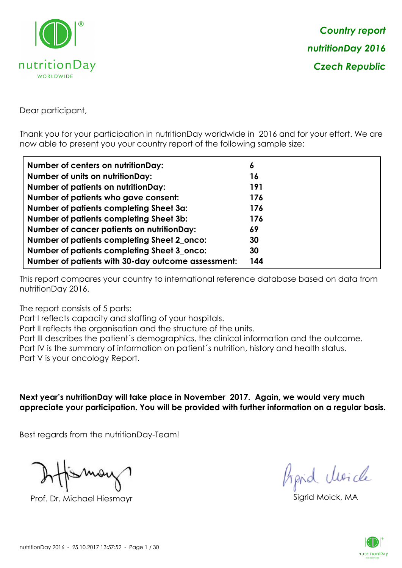

Dear participant,

Thank you for your participation in nutritionDay worldwide in 2016 and for your effort. We are now able to present you your country report of the following sample size:

| Number of centers on nutritionDay:                 | 6   |
|----------------------------------------------------|-----|
| <b>Number of units on nutritionDay:</b>            | 16  |
| <b>Number of patients on nutritionDay:</b>         | 191 |
| Number of patients who gave consent:               | 176 |
| Number of patients completing Sheet 3a:            | 176 |
| <b>Number of patients completing Sheet 3b:</b>     | 176 |
| <b>Number of cancer patients on nutritionDay:</b>  | 69  |
| Number of patients completing Sheet 2_onco:        | 30  |
| Number of patients completing Sheet 3_onco:        | 30  |
| Number of patients with 30-day outcome assessment: | 144 |

This report compares your country to international reference database based on data from nutritionDay 2016.

The report consists of 5 parts:

Part I reflects capacity and staffing of your hospitals.

Part II reflects the organisation and the structure of the units.

Part III describes the patient´s demographics, the clinical information and the outcome.

Part IV is the summary of information on patient´s nutrition, history and health status.

Part V is your oncology Report.

**Next year's nutritionDay will take place in November 2017. Again, we would very much appreciate your participation. You will be provided with further information on a regular basis.**

Best regards from the nutritionDay-Team!

Prof. Dr. Michael Hiesmayr Sigrid Moick, M

*Prpid cluricle* 

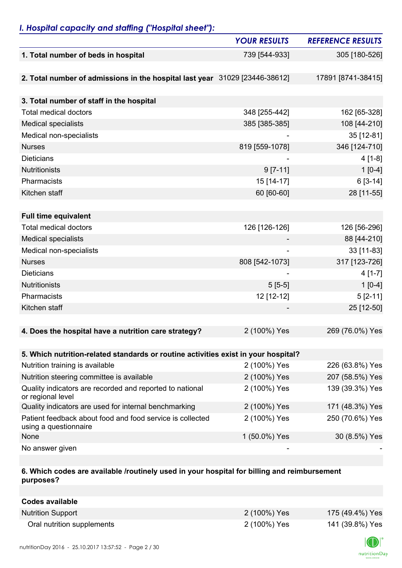## *I. Hospital capacity and staffing ("Hospital sheet"):*

|                                                                                    | <b>YOUR RESULTS</b> | <b>REFERENCE RESULTS</b> |
|------------------------------------------------------------------------------------|---------------------|--------------------------|
| 1. Total number of beds in hospital                                                | 739 [544-933]       | 305 [180-526]            |
|                                                                                    |                     |                          |
| 2. Total number of admissions in the hospital last year 31029 [23446-38612]        |                     | 17891 [8741-38415]       |
|                                                                                    |                     |                          |
| 3. Total number of staff in the hospital                                           |                     |                          |
| <b>Total medical doctors</b>                                                       | 348 [255-442]       | 162 [65-328]             |
| <b>Medical specialists</b>                                                         | 385 [385-385]       | 108 [44-210]             |
| Medical non-specialists                                                            |                     | 35 [12-81]               |
| <b>Nurses</b>                                                                      | 819 [559-1078]      | 346 [124-710]            |
| <b>Dieticians</b>                                                                  |                     | $4[1-8]$                 |
| <b>Nutritionists</b>                                                               | $9 [7-11]$          | $1[0-4]$                 |
| Pharmacists                                                                        | 15 [14-17]          | $6[3-14]$                |
| Kitchen staff                                                                      | 60 [60-60]          | 28 [11-55]               |
|                                                                                    |                     |                          |
| <b>Full time equivalent</b>                                                        |                     |                          |
| <b>Total medical doctors</b>                                                       | 126 [126-126]       | 126 [56-296]             |
| <b>Medical specialists</b>                                                         |                     | 88 [44-210]              |
| Medical non-specialists                                                            |                     | 33 [11-83]               |
| <b>Nurses</b>                                                                      | 808 [542-1073]      | 317 [123-726]            |
| <b>Dieticians</b>                                                                  |                     | $4[1-7]$                 |
| <b>Nutritionists</b>                                                               | $5[5-5]$            | $1[0-4]$                 |
| Pharmacists                                                                        | 12 [12-12]          | $5[2-11]$                |
| Kitchen staff                                                                      |                     | 25 [12-50]               |
|                                                                                    |                     |                          |
| 4. Does the hospital have a nutrition care strategy?                               | 2 (100%) Yes        | 269 (76.0%) Yes          |
|                                                                                    |                     |                          |
| 5. Which nutrition-related standards or routine activities exist in your hospital? |                     |                          |
| Nutrition training is available                                                    | 2 (100%) Yes        | 226 (63.8%) Yes          |
| Nutrition steering committee is available                                          | 2 (100%) Yes        | 207 (58.5%) Yes          |
| Quality indicators are recorded and reported to national<br>or regional level      | 2 (100%) Yes        | 139 (39.3%) Yes          |
| Quality indicators are used for internal benchmarking                              | 2 (100%) Yes        | 171 (48.3%) Yes          |
| Patient feedback about food and food service is collected<br>using a questionnaire | 2 (100%) Yes        | 250 (70.6%) Yes          |
| None                                                                               | 1 (50.0%) Yes       | 30 (8.5%) Yes            |
| No answer given                                                                    |                     |                          |

#### **6. Which codes are available /routinely used in your hospital for billing and reimbursement purposes?**

| Codes available            |              |                 |
|----------------------------|--------------|-----------------|
| <b>Nutrition Support</b>   | 2 (100%) Yes | 175 (49.4%) Yes |
| Oral nutrition supplements | 2 (100%) Yes | 141 (39.8%) Yes |

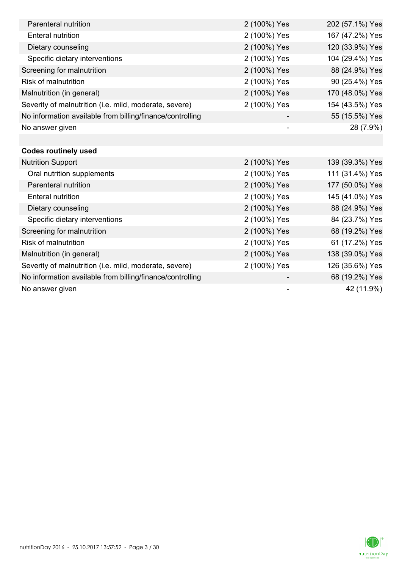| Parenteral nutrition                                      | 2 (100%) Yes | 202 (57.1%) Yes |
|-----------------------------------------------------------|--------------|-----------------|
| <b>Enteral nutrition</b>                                  | 2 (100%) Yes | 167 (47.2%) Yes |
| Dietary counseling                                        | 2 (100%) Yes | 120 (33.9%) Yes |
| Specific dietary interventions                            | 2 (100%) Yes | 104 (29.4%) Yes |
| Screening for malnutrition                                | 2 (100%) Yes | 88 (24.9%) Yes  |
| <b>Risk of malnutrition</b>                               | 2 (100%) Yes | 90 (25.4%) Yes  |
| Malnutrition (in general)                                 | 2 (100%) Yes | 170 (48.0%) Yes |
| Severity of malnutrition (i.e. mild, moderate, severe)    | 2 (100%) Yes | 154 (43.5%) Yes |
| No information available from billing/finance/controlling |              | 55 (15.5%) Yes  |
| No answer given                                           |              | 28 (7.9%)       |
|                                                           |              |                 |
| <b>Codes routinely used</b>                               |              |                 |
| <b>Nutrition Support</b>                                  | 2 (100%) Yes | 139 (39.3%) Yes |
| Oral nutrition supplements                                | 2 (100%) Yes | 111 (31.4%) Yes |
| Parenteral nutrition                                      | 2 (100%) Yes | 177 (50.0%) Yes |
| <b>Enteral nutrition</b>                                  | 2 (100%) Yes | 145 (41.0%) Yes |
| Dietary counseling                                        | 2 (100%) Yes | 88 (24.9%) Yes  |
| Specific dietary interventions                            | 2 (100%) Yes | 84 (23.7%) Yes  |
| Screening for malnutrition                                | 2 (100%) Yes | 68 (19.2%) Yes  |
| <b>Risk of malnutrition</b>                               | 2 (100%) Yes | 61 (17.2%) Yes  |
| Malnutrition (in general)                                 | 2 (100%) Yes | 138 (39.0%) Yes |
| Severity of malnutrition (i.e. mild, moderate, severe)    | 2 (100%) Yes | 126 (35.6%) Yes |
| No information available from billing/finance/controlling |              | 68 (19.2%) Yes  |
| No answer given                                           |              | 42 (11.9%)      |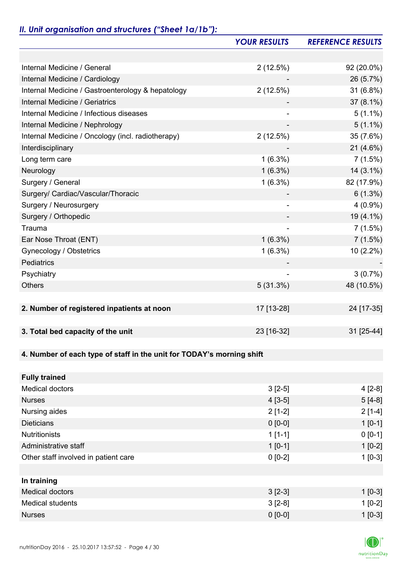# *II. Unit organisation and structures ("Sheet 1a/1b"):*

|                                                                       | <b>YOUR RESULTS</b> | <b>REFERENCE RESULTS</b> |
|-----------------------------------------------------------------------|---------------------|--------------------------|
|                                                                       |                     |                          |
| Internal Medicine / General                                           | 2(12.5%)            | 92 (20.0%)               |
| Internal Medicine / Cardiology                                        |                     | 26 (5.7%)                |
| Internal Medicine / Gastroenterology & hepatology                     | 2(12.5%)            | 31 (6.8%)                |
| Internal Medicine / Geriatrics                                        |                     | 37 (8.1%)                |
| Internal Medicine / Infectious diseases                               | -                   | $5(1.1\%)$               |
| Internal Medicine / Nephrology                                        |                     | $5(1.1\%)$               |
| Internal Medicine / Oncology (incl. radiotherapy)                     | 2(12.5%)            | 35 (7.6%)                |
| Interdisciplinary                                                     |                     | $21(4.6\%)$              |
| Long term care                                                        | $1(6.3\%)$          | 7(1.5%)                  |
| Neurology                                                             | $1(6.3\%)$          | $14(3.1\%)$              |
| Surgery / General                                                     | $1(6.3\%)$          | 82 (17.9%)               |
| Surgery/ Cardiac/Vascular/Thoracic                                    |                     | $6(1.3\%)$               |
| Surgery / Neurosurgery                                                | $\overline{a}$      | $4(0.9\%)$               |
| Surgery / Orthopedic                                                  |                     | 19 (4.1%)                |
| Trauma                                                                |                     | 7(1.5%)                  |
| Ear Nose Throat (ENT)                                                 | $1(6.3\%)$          | 7(1.5%)                  |
| Gynecology / Obstetrics                                               | $1(6.3\%)$          | 10 (2.2%)                |
| Pediatrics                                                            |                     |                          |
| Psychiatry                                                            |                     | $3(0.7\%)$               |
| <b>Others</b>                                                         | 5(31.3%)            | 48 (10.5%)               |
|                                                                       |                     |                          |
| 2. Number of registered inpatients at noon                            | 17 [13-28]          | 24 [17-35]               |
|                                                                       |                     |                          |
| 3. Total bed capacity of the unit                                     | 23 [16-32]          | 31 [25-44]               |
|                                                                       |                     |                          |
| 4. Number of each type of staff in the unit for TODAY's morning shift |                     |                          |
|                                                                       |                     |                          |
| <b>Fully trained</b>                                                  |                     |                          |
| <b>Medical doctors</b>                                                | $3[2-5]$            | $4[2-8]$                 |
| <b>Nurses</b>                                                         | $4[3-5]$            | $5[4-8]$                 |
| Nursing aides                                                         | $2[1-2]$            | $2[1-4]$                 |
| <b>Dieticians</b>                                                     | $0 [0-0]$           | $1 [0-1]$                |
| <b>Nutritionists</b>                                                  | $1[1-1]$            | $0 [0-1]$                |
| Administrative staff                                                  | $1[0-1]$            | $1[0-2]$                 |
| Other staff involved in patient care                                  | $0 [0-2]$           | $1[0-3]$                 |
|                                                                       |                     |                          |
| In training                                                           |                     |                          |
| <b>Medical doctors</b>                                                | $3[2-3]$            | $1 [0-3]$                |
| <b>Medical students</b>                                               | $3 [2-8]$           | $1[0-2]$                 |
| <b>Nurses</b>                                                         | $0 [0-0]$           | $1[0-3]$                 |

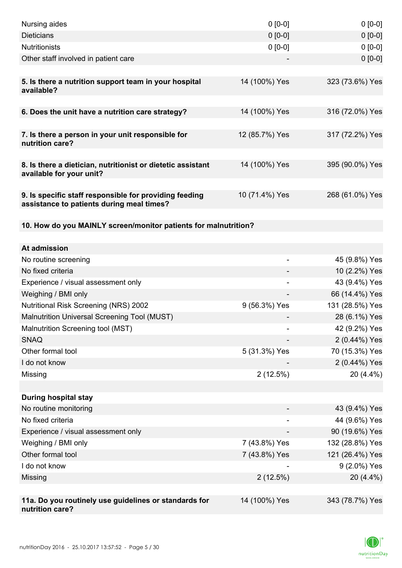| Nursing aides                                                                                       | $0 [0-0]$                | $0[0-0]$        |
|-----------------------------------------------------------------------------------------------------|--------------------------|-----------------|
| <b>Dieticians</b>                                                                                   | $0 [0-0]$                | $0 [0-0]$       |
| <b>Nutritionists</b>                                                                                | $0 [0-0]$                | $0 [0-0]$       |
| Other staff involved in patient care                                                                |                          | $0 [0-0]$       |
|                                                                                                     |                          |                 |
| 5. Is there a nutrition support team in your hospital<br>available?                                 | 14 (100%) Yes            | 323 (73.6%) Yes |
| 6. Does the unit have a nutrition care strategy?                                                    | 14 (100%) Yes            | 316 (72.0%) Yes |
| 7. Is there a person in your unit responsible for<br>nutrition care?                                | 12 (85.7%) Yes           | 317 (72.2%) Yes |
|                                                                                                     |                          |                 |
| 8. Is there a dietician, nutritionist or dietetic assistant<br>available for your unit?             | 14 (100%) Yes            | 395 (90.0%) Yes |
| 9. Is specific staff responsible for providing feeding<br>assistance to patients during meal times? | 10 (71.4%) Yes           | 268 (61.0%) Yes |
| 10. How do you MAINLY screen/monitor patients for malnutrition?                                     |                          |                 |
|                                                                                                     |                          |                 |
| At admission                                                                                        |                          |                 |
| No routine screening                                                                                | $\overline{\phantom{0}}$ | 45 (9.8%) Yes   |
| No fixed criteria                                                                                   |                          | 10 (2.2%) Yes   |
| Experience / visual assessment only                                                                 |                          | 43 (9.4%) Yes   |
| Weighing / BMI only                                                                                 |                          | 66 (14.4%) Yes  |
| <b>Nutritional Risk Screening (NRS) 2002</b>                                                        | 9 (56.3%) Yes            | 131 (28.5%) Yes |
| Malnutrition Universal Screening Tool (MUST)                                                        |                          | 28 (6.1%) Yes   |
| Malnutrition Screening tool (MST)                                                                   |                          | 42 (9.2%) Yes   |
| <b>SNAQ</b>                                                                                         |                          | 2 (0.44%) Yes   |
| Other formal tool                                                                                   | 5 (31.3%) Yes            | 70 (15.3%) Yes  |
| I do not know                                                                                       |                          | 2 (0.44%) Yes   |
| Missing                                                                                             | 2(12.5%)                 | 20 (4.4%)       |
|                                                                                                     |                          |                 |
| <b>During hospital stay</b>                                                                         |                          |                 |
| No routine monitoring                                                                               |                          | 43 (9.4%) Yes   |
| No fixed criteria                                                                                   |                          | 44 (9.6%) Yes   |
| Experience / visual assessment only                                                                 |                          | 90 (19.6%) Yes  |
| Weighing / BMI only                                                                                 | 7 (43.8%) Yes            | 132 (28.8%) Yes |
| Other formal tool                                                                                   | 7 (43.8%) Yes            | 121 (26.4%) Yes |
| I do not know                                                                                       |                          | 9 (2.0%) Yes    |
| Missing                                                                                             | 2(12.5%)                 | 20 (4.4%)       |
|                                                                                                     |                          |                 |
| 11a. Do you routinely use guidelines or standards for<br>nutrition care?                            | 14 (100%) Yes            | 343 (78.7%) Yes |

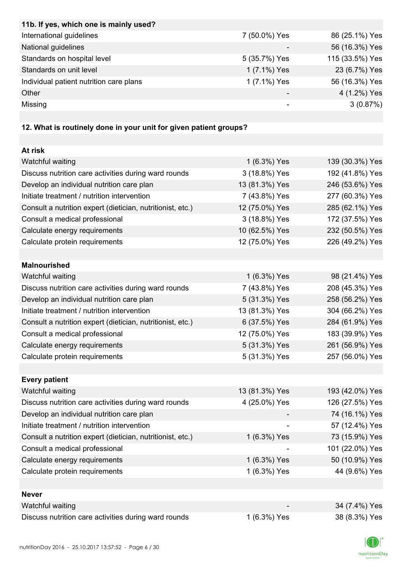| 11b. If yes, which one is mainly used?                            |                |                 |
|-------------------------------------------------------------------|----------------|-----------------|
| International guidelines                                          | 7 (50.0%) Yes  | 86 (25.1%) Yes  |
| National guidelines                                               |                | 56 (16.3%) Yes  |
| Standards on hospital level                                       | 5 (35.7%) Yes  | 115 (33.5%) Yes |
| Standards on unit level                                           | 1 (7.1%) Yes   | 23 (6.7%) Yes   |
| Individual patient nutrition care plans                           | 1 (7.1%) Yes   | 56 (16.3%) Yes  |
| Other                                                             |                | 4 (1.2%) Yes    |
| Missing                                                           |                | 3(0.87%)        |
|                                                                   |                |                 |
| 12. What is routinely done in your unit for given patient groups? |                |                 |
|                                                                   |                |                 |
| At risk                                                           |                |                 |
| Watchful waiting                                                  | 1 (6.3%) Yes   | 139 (30.3%) Yes |
| Discuss nutrition care activities during ward rounds              | 3 (18.8%) Yes  | 192 (41.8%) Yes |
| Develop an individual nutrition care plan                         | 13 (81.3%) Yes | 246 (53.6%) Yes |
| Initiate treatment / nutrition intervention                       | 7 (43.8%) Yes  | 277 (60.3%) Yes |
| Consult a nutrition expert (dietician, nutritionist, etc.)        | 12 (75.0%) Yes | 285 (62.1%) Yes |
| Consult a medical professional                                    | 3 (18.8%) Yes  | 172 (37.5%) Yes |
| Calculate energy requirements                                     | 10 (62.5%) Yes | 232 (50.5%) Yes |
| Calculate protein requirements                                    | 12 (75.0%) Yes | 226 (49.2%) Yes |
|                                                                   |                |                 |
| <b>Malnourished</b>                                               |                |                 |
| Watchful waiting                                                  | 1 (6.3%) Yes   | 98 (21.4%) Yes  |
| Discuss nutrition care activities during ward rounds              | 7 (43.8%) Yes  | 208 (45.3%) Yes |
| Develop an individual nutrition care plan                         | 5 (31.3%) Yes  | 258 (56.2%) Yes |
| Initiate treatment / nutrition intervention                       | 13 (81.3%) Yes | 304 (66.2%) Yes |
| Consult a nutrition expert (dietician, nutritionist, etc.)        | 6 (37.5%) Yes  | 284 (61.9%) Yes |
| Consult a medical professional                                    | 12 (75.0%) Yes | 183 (39.9%) Yes |
| Calculate energy requirements                                     | 5 (31.3%) Yes  | 261 (56.9%) Yes |
| Calculate protein requirements                                    | 5 (31.3%) Yes  | 257 (56.0%) Yes |
|                                                                   |                |                 |
| <b>Every patient</b>                                              |                |                 |
| Watchful waiting                                                  | 13 (81.3%) Yes | 193 (42.0%) Yes |
| Discuss nutrition care activities during ward rounds              | 4 (25.0%) Yes  | 126 (27.5%) Yes |
| Develop an individual nutrition care plan                         |                | 74 (16.1%) Yes  |
| Initiate treatment / nutrition intervention                       |                | 57 (12.4%) Yes  |
| Consult a nutrition expert (dietician, nutritionist, etc.)        | 1 (6.3%) Yes   | 73 (15.9%) Yes  |
| Consult a medical professional                                    |                | 101 (22.0%) Yes |
| Calculate energy requirements                                     | 1 (6.3%) Yes   | 50 (10.9%) Yes  |
| Calculate protein requirements                                    | 1 (6.3%) Yes   | 44 (9.6%) Yes   |
|                                                                   |                |                 |
| <b>Never</b>                                                      |                |                 |
| Watchful waiting                                                  |                | 34 (7.4%) Yes   |
| Discuss nutrition care activities during ward rounds              | 1 (6.3%) Yes   | 38 (8.3%) Yes   |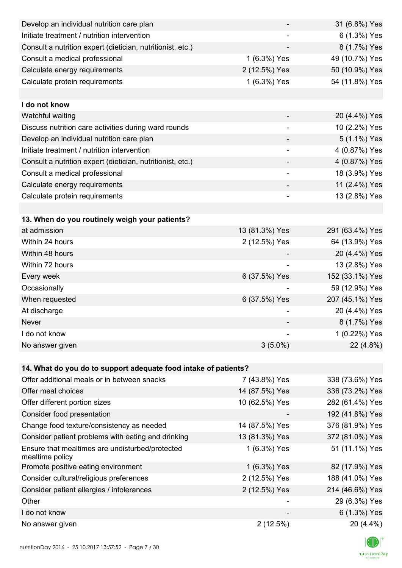| Develop an individual nutrition care plan                          |                          | 31 (6.8%) Yes   |
|--------------------------------------------------------------------|--------------------------|-----------------|
| Initiate treatment / nutrition intervention                        |                          | 6 (1.3%) Yes    |
| Consult a nutrition expert (dietician, nutritionist, etc.)         |                          | 8 (1.7%) Yes    |
| Consult a medical professional                                     | 1 (6.3%) Yes             | 49 (10.7%) Yes  |
| Calculate energy requirements                                      | 2 (12.5%) Yes            | 50 (10.9%) Yes  |
| Calculate protein requirements                                     | 1 (6.3%) Yes             | 54 (11.8%) Yes  |
|                                                                    |                          |                 |
| I do not know                                                      |                          |                 |
| Watchful waiting                                                   |                          | 20 (4.4%) Yes   |
| Discuss nutrition care activities during ward rounds               | $\overline{\phantom{a}}$ | 10 (2.2%) Yes   |
| Develop an individual nutrition care plan                          |                          | 5 (1.1%) Yes    |
| Initiate treatment / nutrition intervention                        | $\overline{\phantom{a}}$ | 4 (0.87%) Yes   |
| Consult a nutrition expert (dietician, nutritionist, etc.)         |                          | 4 (0.87%) Yes   |
| Consult a medical professional                                     |                          | 18 (3.9%) Yes   |
| Calculate energy requirements                                      |                          | 11 (2.4%) Yes   |
| Calculate protein requirements                                     | -                        | 13 (2.8%) Yes   |
|                                                                    |                          |                 |
| 13. When do you routinely weigh your patients?                     |                          |                 |
| at admission                                                       | 13 (81.3%) Yes           | 291 (63.4%) Yes |
| Within 24 hours                                                    | 2 (12.5%) Yes            | 64 (13.9%) Yes  |
| Within 48 hours                                                    |                          | 20 (4.4%) Yes   |
| Within 72 hours                                                    | $\overline{\phantom{a}}$ | 13 (2.8%) Yes   |
| Every week                                                         | 6 (37.5%) Yes            | 152 (33.1%) Yes |
| Occasionally                                                       |                          | 59 (12.9%) Yes  |
| When requested                                                     | 6 (37.5%) Yes            | 207 (45.1%) Yes |
| At discharge                                                       |                          | 20 (4.4%) Yes   |
| Never                                                              |                          | 8 (1.7%) Yes    |
| I do not know                                                      |                          | 1 (0.22%) Yes   |
| No answer given                                                    | $3(5.0\%)$               | 22 (4.8%)       |
|                                                                    |                          |                 |
| 14. What do you do to support adequate food intake of patients?    |                          |                 |
| Offer additional meals or in between snacks                        | 7 (43.8%) Yes            | 338 (73.6%) Yes |
| Offer meal choices                                                 | 14 (87.5%) Yes           | 336 (73.2%) Yes |
| Offer different portion sizes                                      | 10 (62.5%) Yes           | 282 (61.4%) Yes |
| Consider food presentation                                         |                          | 192 (41.8%) Yes |
| Change food texture/consistency as needed                          | 14 (87.5%) Yes           | 376 (81.9%) Yes |
| Consider patient problems with eating and drinking                 | 13 (81.3%) Yes           | 372 (81.0%) Yes |
| Ensure that mealtimes are undisturbed/protected<br>mealtime policy | 1 (6.3%) Yes             | 51 (11.1%) Yes  |
| Promote positive eating environment                                | 1 (6.3%) Yes             | 82 (17.9%) Yes  |
| Consider cultural/religious preferences                            | 2 (12.5%) Yes            | 188 (41.0%) Yes |
| Consider patient allergies / intolerances                          | 2 (12.5%) Yes            | 214 (46.6%) Yes |
| Other                                                              |                          | 29 (6.3%) Yes   |
| I do not know                                                      |                          | 6 (1.3%) Yes    |
| No answer given                                                    | 2(12.5%)                 | 20 (4.4%)       |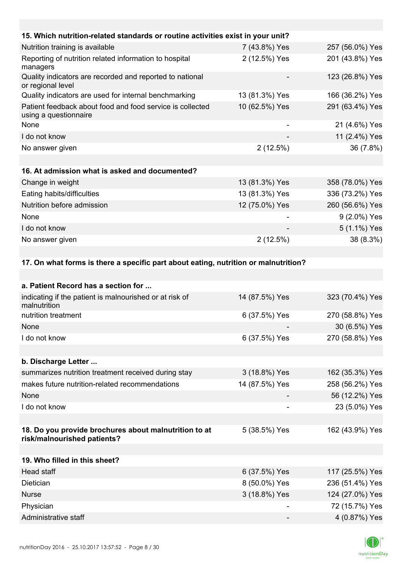| 15. Which nutrition-related standards or routine activities exist in your unit?     |                |                 |
|-------------------------------------------------------------------------------------|----------------|-----------------|
| Nutrition training is available                                                     | 7 (43.8%) Yes  | 257 (56.0%) Yes |
| Reporting of nutrition related information to hospital<br>managers                  | 2 (12.5%) Yes  | 201 (43.8%) Yes |
| Quality indicators are recorded and reported to national<br>or regional level       |                | 123 (26.8%) Yes |
| Quality indicators are used for internal benchmarking                               | 13 (81.3%) Yes | 166 (36.2%) Yes |
| Patient feedback about food and food service is collected<br>using a questionnaire  | 10 (62.5%) Yes | 291 (63.4%) Yes |
| None                                                                                |                | 21 (4.6%) Yes   |
| I do not know                                                                       |                | 11 (2.4%) Yes   |
| No answer given                                                                     | 2(12.5%)       | 36 (7.8%)       |
|                                                                                     |                |                 |
| 16. At admission what is asked and documented?                                      |                |                 |
| Change in weight                                                                    | 13 (81.3%) Yes | 358 (78.0%) Yes |
| Eating habits/difficulties                                                          | 13 (81.3%) Yes | 336 (73.2%) Yes |
| Nutrition before admission                                                          | 12 (75.0%) Yes | 260 (56.6%) Yes |
| None                                                                                |                | 9 (2.0%) Yes    |
| I do not know                                                                       |                | 5 (1.1%) Yes    |
| No answer given                                                                     | 2(12.5%)       | 38 (8.3%)       |
|                                                                                     |                |                 |
| 17. On what forms is there a specific part about eating, nutrition or malnutrition? |                |                 |
|                                                                                     |                |                 |
| a. Patient Record has a section for                                                 |                |                 |
| indicating if the patient is malnourished or at risk of<br>malnutrition             | 14 (87.5%) Yes | 323 (70.4%) Yes |
| nutrition treatment                                                                 | 6 (37.5%) Yes  | 270 (58.8%) Yes |

| indicating if the patient is malnourished or at risk of<br>malnutrition              | 14 (87.5%) Yes | 323 (70.4%) Yes |
|--------------------------------------------------------------------------------------|----------------|-----------------|
| nutrition treatment                                                                  | 6 (37.5%) Yes  | 270 (58.8%) Yes |
| None                                                                                 |                | 30 (6.5%) Yes   |
| I do not know                                                                        | 6 (37.5%) Yes  | 270 (58.8%) Yes |
|                                                                                      |                |                 |
| b. Discharge Letter                                                                  |                |                 |
| summarizes nutrition treatment received during stay                                  | 3 (18.8%) Yes  | 162 (35.3%) Yes |
| makes future nutrition-related recommendations                                       | 14 (87.5%) Yes | 258 (56.2%) Yes |
| None                                                                                 |                | 56 (12.2%) Yes  |
| I do not know                                                                        |                | 23 (5.0%) Yes   |
|                                                                                      |                |                 |
| 18. Do you provide brochures about malnutrition to at<br>risk/malnourished patients? | 5 (38.5%) Yes  | 162 (43.9%) Yes |
|                                                                                      |                |                 |
| 19. Who filled in this sheet?                                                        |                |                 |
| Head staff                                                                           | 6 (37.5%) Yes  | 117 (25.5%) Yes |
| Dietician                                                                            | 8 (50.0%) Yes  | 236 (51.4%) Yes |
| <b>Nurse</b>                                                                         | 3 (18.8%) Yes  | 124 (27.0%) Yes |
| Physician                                                                            |                | 72 (15.7%) Yes  |
| Administrative staff                                                                 |                | 4 (0.87%) Yes   |

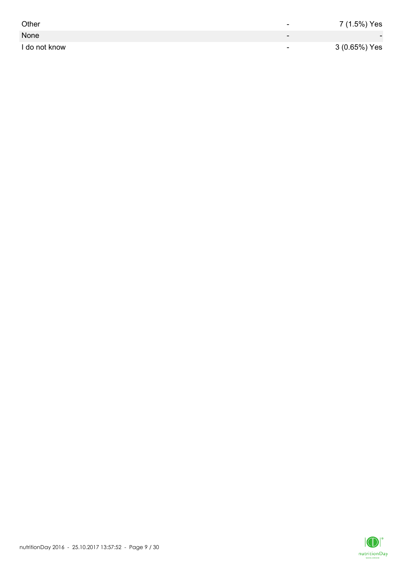| Other         | -                        | 7 (1.5%) Yes             |
|---------------|--------------------------|--------------------------|
| None          | $\overline{\phantom{0}}$ | $\overline{\phantom{0}}$ |
| I do not know | $\overline{\phantom{0}}$ | 3 (0.65%) Yes            |

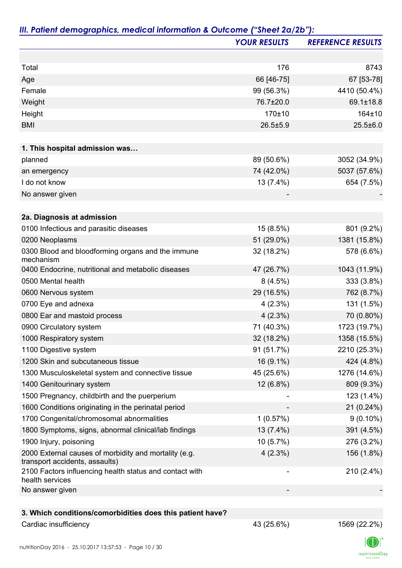|                                                                                         | <b>YOUR RESULTS</b> | <b>REFERENCE RESULTS</b> |
|-----------------------------------------------------------------------------------------|---------------------|--------------------------|
|                                                                                         |                     |                          |
| Total                                                                                   | 176                 | 8743                     |
| Age                                                                                     | 66 [46-75]          | 67 [53-78]               |
| Female                                                                                  | 99 (56.3%)          | 4410 (50.4%)             |
| Weight                                                                                  | 76.7±20.0           | 69.1±18.8                |
| Height                                                                                  | 170±10              | 164±10                   |
| <b>BMI</b>                                                                              | $26.5 \pm 5.9$      | $25.5 \pm 6.0$           |
|                                                                                         |                     |                          |
| 1. This hospital admission was                                                          |                     |                          |
| planned                                                                                 | 89 (50.6%)          | 3052 (34.9%)             |
| an emergency                                                                            | 74 (42.0%)          | 5037 (57.6%)             |
| I do not know                                                                           | 13 (7.4%)           | 654 (7.5%)               |
| No answer given                                                                         |                     |                          |
|                                                                                         |                     |                          |
| 2a. Diagnosis at admission                                                              |                     |                          |
| 0100 Infectious and parasitic diseases                                                  | 15 (8.5%)           | 801 (9.2%)               |
| 0200 Neoplasms                                                                          | 51 (29.0%)          | 1381 (15.8%)             |
| 0300 Blood and bloodforming organs and the immune<br>mechanism                          | 32 (18.2%)          | 578 (6.6%)               |
| 0400 Endocrine, nutritional and metabolic diseases                                      | 47 (26.7%)          | 1043 (11.9%)             |
| 0500 Mental health                                                                      | 8(4.5%)             | 333 (3.8%)               |
| 0600 Nervous system                                                                     | 29 (16.5%)          | 762 (8.7%)               |
| 0700 Eye and adnexa                                                                     | 4(2.3%)             | 131 (1.5%)               |
| 0800 Ear and mastoid process                                                            | 4(2.3%)             | 70 (0.80%)               |
| 0900 Circulatory system                                                                 | 71 (40.3%)          | 1723 (19.7%)             |
| 1000 Respiratory system                                                                 | 32 (18.2%)          | 1358 (15.5%)             |
| 1100 Digestive system                                                                   | 91 (51.7%)          | 2210 (25.3%)             |
| 1200 Skin and subcutaneous tissue                                                       | 16 (9.1%)           | 424 (4.8%)               |
| 1300 Musculoskeletal system and connective tissue                                       | 45 (25.6%)          | 1276 (14.6%)             |
| 1400 Genitourinary system                                                               | 12 (6.8%)           | 809 (9.3%)               |
| 1500 Pregnancy, childbirth and the puerperium                                           |                     | 123 (1.4%)               |
| 1600 Conditions originating in the perinatal period                                     |                     | 21 (0.24%)               |
| 1700 Congenital/chromosomal abnormalities                                               | 1(0.57%)            | $9(0.10\%)$              |
| 1800 Symptoms, signs, abnormal clinical/lab findings                                    | 13 (7.4%)           | 391 (4.5%)               |
| 1900 Injury, poisoning                                                                  | 10(5.7%)            | 276 (3.2%)               |
| 2000 External causes of morbidity and mortality (e.g.<br>transport accidents, assaults) | 4(2.3%)             | 156 (1.8%)               |
| 2100 Factors influencing health status and contact with<br>health services              |                     | 210 (2.4%)               |
| No answer given                                                                         |                     |                          |

### **3. Which conditions/comorbidities does this patient have?**

Cardiac insufficiency 22.2%)

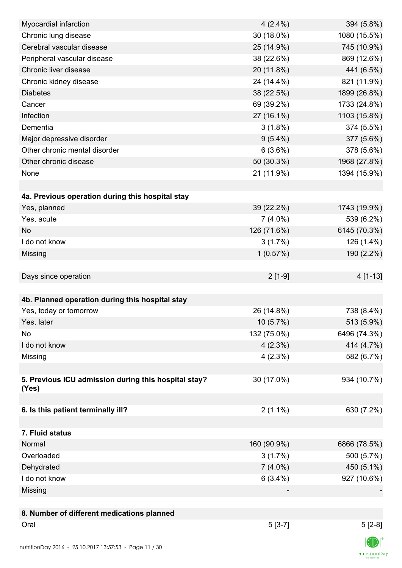| 30 (18.0%)<br>Chronic lung disease<br>1080 (15.5%)<br>Cerebral vascular disease<br>25 (14.9%)<br>745 (10.9%)<br>38 (22.6%)<br>869 (12.6%)<br>Peripheral vascular disease<br>Chronic liver disease<br>20 (11.8%)<br>441 (6.5%)<br>Chronic kidney disease<br>821 (11.9%)<br>24 (14.4%)<br><b>Diabetes</b><br>38 (22.5%)<br>1899 (26.8%)<br>1733 (24.8%)<br>Cancer<br>69 (39.2%)<br>Infection<br>27 (16.1%)<br>1103 (15.8%)<br>Dementia<br>$3(1.8\%)$<br>374 (5.5%)<br>Major depressive disorder<br>$9(5.4\%)$<br>377 (5.6%)<br>Other chronic mental disorder<br>6(3.6%)<br>378 (5.6%)<br>50 (30.3%)<br>1968 (27.8%)<br>Other chronic disease<br>None<br>21 (11.9%)<br>1394 (15.9%)<br>4a. Previous operation during this hospital stay<br>Yes, planned<br>39 (22.2%)<br>1743 (19.9%)<br>$7(4.0\%)$<br>539 (6.2%)<br>Yes, acute<br>6145 (70.3%)<br><b>No</b><br>126 (71.6%)<br>I do not know<br>126 (1.4%)<br>3(1.7%)<br>Missing<br>1(0.57%)<br>190 (2.2%)<br>$2[1-9]$<br>4 [1-13]<br>Days since operation<br>4b. Planned operation during this hospital stay<br>Yes, today or tomorrow<br>26 (14.8%)<br>738 (8.4%)<br>10(5.7%)<br>513 (5.9%)<br>Yes, later<br>132 (75.0%)<br>6496 (74.3%)<br>No<br>I do not know<br>414 (4.7%)<br>$4(2.3\%)$<br>582 (6.7%)<br>Missing<br>$4(2.3\%)$<br>30 (17.0%)<br>934 (10.7%)<br>5. Previous ICU admission during this hospital stay?<br>(Yes)<br>$2(1.1\%)$<br>630 (7.2%)<br>6. Is this patient terminally ill?<br>7. Fluid status<br>Normal<br>160 (90.9%)<br>6866 (78.5%)<br>Overloaded<br>3(1.7%)<br>Dehydrated<br>450 (5.1%)<br>$7(4.0\%)$<br>I do not know<br>$6(3.4\%)$<br>927 (10.6%)<br>Missing<br>8. Number of different medications planned | Myocardial infarction | $4(2.4\%)$ | 394 (5.8%) |
|-----------------------------------------------------------------------------------------------------------------------------------------------------------------------------------------------------------------------------------------------------------------------------------------------------------------------------------------------------------------------------------------------------------------------------------------------------------------------------------------------------------------------------------------------------------------------------------------------------------------------------------------------------------------------------------------------------------------------------------------------------------------------------------------------------------------------------------------------------------------------------------------------------------------------------------------------------------------------------------------------------------------------------------------------------------------------------------------------------------------------------------------------------------------------------------------------------------------------------------------------------------------------------------------------------------------------------------------------------------------------------------------------------------------------------------------------------------------------------------------------------------------------------------------------------------------------------------------------------------------------------------------------------------------------------------------|-----------------------|------------|------------|
|                                                                                                                                                                                                                                                                                                                                                                                                                                                                                                                                                                                                                                                                                                                                                                                                                                                                                                                                                                                                                                                                                                                                                                                                                                                                                                                                                                                                                                                                                                                                                                                                                                                                                         |                       |            |            |
|                                                                                                                                                                                                                                                                                                                                                                                                                                                                                                                                                                                                                                                                                                                                                                                                                                                                                                                                                                                                                                                                                                                                                                                                                                                                                                                                                                                                                                                                                                                                                                                                                                                                                         |                       |            |            |
|                                                                                                                                                                                                                                                                                                                                                                                                                                                                                                                                                                                                                                                                                                                                                                                                                                                                                                                                                                                                                                                                                                                                                                                                                                                                                                                                                                                                                                                                                                                                                                                                                                                                                         |                       |            |            |
| 500 (5.7%)                                                                                                                                                                                                                                                                                                                                                                                                                                                                                                                                                                                                                                                                                                                                                                                                                                                                                                                                                                                                                                                                                                                                                                                                                                                                                                                                                                                                                                                                                                                                                                                                                                                                              |                       |            |            |
|                                                                                                                                                                                                                                                                                                                                                                                                                                                                                                                                                                                                                                                                                                                                                                                                                                                                                                                                                                                                                                                                                                                                                                                                                                                                                                                                                                                                                                                                                                                                                                                                                                                                                         |                       |            |            |
|                                                                                                                                                                                                                                                                                                                                                                                                                                                                                                                                                                                                                                                                                                                                                                                                                                                                                                                                                                                                                                                                                                                                                                                                                                                                                                                                                                                                                                                                                                                                                                                                                                                                                         |                       |            |            |
|                                                                                                                                                                                                                                                                                                                                                                                                                                                                                                                                                                                                                                                                                                                                                                                                                                                                                                                                                                                                                                                                                                                                                                                                                                                                                                                                                                                                                                                                                                                                                                                                                                                                                         |                       |            |            |
|                                                                                                                                                                                                                                                                                                                                                                                                                                                                                                                                                                                                                                                                                                                                                                                                                                                                                                                                                                                                                                                                                                                                                                                                                                                                                                                                                                                                                                                                                                                                                                                                                                                                                         |                       |            |            |
|                                                                                                                                                                                                                                                                                                                                                                                                                                                                                                                                                                                                                                                                                                                                                                                                                                                                                                                                                                                                                                                                                                                                                                                                                                                                                                                                                                                                                                                                                                                                                                                                                                                                                         |                       |            |            |
|                                                                                                                                                                                                                                                                                                                                                                                                                                                                                                                                                                                                                                                                                                                                                                                                                                                                                                                                                                                                                                                                                                                                                                                                                                                                                                                                                                                                                                                                                                                                                                                                                                                                                         |                       |            |            |
|                                                                                                                                                                                                                                                                                                                                                                                                                                                                                                                                                                                                                                                                                                                                                                                                                                                                                                                                                                                                                                                                                                                                                                                                                                                                                                                                                                                                                                                                                                                                                                                                                                                                                         |                       |            |            |
|                                                                                                                                                                                                                                                                                                                                                                                                                                                                                                                                                                                                                                                                                                                                                                                                                                                                                                                                                                                                                                                                                                                                                                                                                                                                                                                                                                                                                                                                                                                                                                                                                                                                                         |                       |            |            |
|                                                                                                                                                                                                                                                                                                                                                                                                                                                                                                                                                                                                                                                                                                                                                                                                                                                                                                                                                                                                                                                                                                                                                                                                                                                                                                                                                                                                                                                                                                                                                                                                                                                                                         |                       |            |            |
|                                                                                                                                                                                                                                                                                                                                                                                                                                                                                                                                                                                                                                                                                                                                                                                                                                                                                                                                                                                                                                                                                                                                                                                                                                                                                                                                                                                                                                                                                                                                                                                                                                                                                         |                       |            |            |
|                                                                                                                                                                                                                                                                                                                                                                                                                                                                                                                                                                                                                                                                                                                                                                                                                                                                                                                                                                                                                                                                                                                                                                                                                                                                                                                                                                                                                                                                                                                                                                                                                                                                                         |                       |            |            |
|                                                                                                                                                                                                                                                                                                                                                                                                                                                                                                                                                                                                                                                                                                                                                                                                                                                                                                                                                                                                                                                                                                                                                                                                                                                                                                                                                                                                                                                                                                                                                                                                                                                                                         |                       |            |            |
|                                                                                                                                                                                                                                                                                                                                                                                                                                                                                                                                                                                                                                                                                                                                                                                                                                                                                                                                                                                                                                                                                                                                                                                                                                                                                                                                                                                                                                                                                                                                                                                                                                                                                         |                       |            |            |
|                                                                                                                                                                                                                                                                                                                                                                                                                                                                                                                                                                                                                                                                                                                                                                                                                                                                                                                                                                                                                                                                                                                                                                                                                                                                                                                                                                                                                                                                                                                                                                                                                                                                                         |                       |            |            |
|                                                                                                                                                                                                                                                                                                                                                                                                                                                                                                                                                                                                                                                                                                                                                                                                                                                                                                                                                                                                                                                                                                                                                                                                                                                                                                                                                                                                                                                                                                                                                                                                                                                                                         |                       |            |            |
|                                                                                                                                                                                                                                                                                                                                                                                                                                                                                                                                                                                                                                                                                                                                                                                                                                                                                                                                                                                                                                                                                                                                                                                                                                                                                                                                                                                                                                                                                                                                                                                                                                                                                         |                       |            |            |
|                                                                                                                                                                                                                                                                                                                                                                                                                                                                                                                                                                                                                                                                                                                                                                                                                                                                                                                                                                                                                                                                                                                                                                                                                                                                                                                                                                                                                                                                                                                                                                                                                                                                                         |                       |            |            |
|                                                                                                                                                                                                                                                                                                                                                                                                                                                                                                                                                                                                                                                                                                                                                                                                                                                                                                                                                                                                                                                                                                                                                                                                                                                                                                                                                                                                                                                                                                                                                                                                                                                                                         |                       |            |            |
|                                                                                                                                                                                                                                                                                                                                                                                                                                                                                                                                                                                                                                                                                                                                                                                                                                                                                                                                                                                                                                                                                                                                                                                                                                                                                                                                                                                                                                                                                                                                                                                                                                                                                         |                       |            |            |
|                                                                                                                                                                                                                                                                                                                                                                                                                                                                                                                                                                                                                                                                                                                                                                                                                                                                                                                                                                                                                                                                                                                                                                                                                                                                                                                                                                                                                                                                                                                                                                                                                                                                                         |                       |            |            |
|                                                                                                                                                                                                                                                                                                                                                                                                                                                                                                                                                                                                                                                                                                                                                                                                                                                                                                                                                                                                                                                                                                                                                                                                                                                                                                                                                                                                                                                                                                                                                                                                                                                                                         |                       |            |            |
|                                                                                                                                                                                                                                                                                                                                                                                                                                                                                                                                                                                                                                                                                                                                                                                                                                                                                                                                                                                                                                                                                                                                                                                                                                                                                                                                                                                                                                                                                                                                                                                                                                                                                         |                       |            |            |
|                                                                                                                                                                                                                                                                                                                                                                                                                                                                                                                                                                                                                                                                                                                                                                                                                                                                                                                                                                                                                                                                                                                                                                                                                                                                                                                                                                                                                                                                                                                                                                                                                                                                                         |                       |            |            |
|                                                                                                                                                                                                                                                                                                                                                                                                                                                                                                                                                                                                                                                                                                                                                                                                                                                                                                                                                                                                                                                                                                                                                                                                                                                                                                                                                                                                                                                                                                                                                                                                                                                                                         |                       |            |            |
|                                                                                                                                                                                                                                                                                                                                                                                                                                                                                                                                                                                                                                                                                                                                                                                                                                                                                                                                                                                                                                                                                                                                                                                                                                                                                                                                                                                                                                                                                                                                                                                                                                                                                         |                       |            |            |
|                                                                                                                                                                                                                                                                                                                                                                                                                                                                                                                                                                                                                                                                                                                                                                                                                                                                                                                                                                                                                                                                                                                                                                                                                                                                                                                                                                                                                                                                                                                                                                                                                                                                                         |                       |            |            |
|                                                                                                                                                                                                                                                                                                                                                                                                                                                                                                                                                                                                                                                                                                                                                                                                                                                                                                                                                                                                                                                                                                                                                                                                                                                                                                                                                                                                                                                                                                                                                                                                                                                                                         |                       |            |            |
|                                                                                                                                                                                                                                                                                                                                                                                                                                                                                                                                                                                                                                                                                                                                                                                                                                                                                                                                                                                                                                                                                                                                                                                                                                                                                                                                                                                                                                                                                                                                                                                                                                                                                         |                       |            |            |
|                                                                                                                                                                                                                                                                                                                                                                                                                                                                                                                                                                                                                                                                                                                                                                                                                                                                                                                                                                                                                                                                                                                                                                                                                                                                                                                                                                                                                                                                                                                                                                                                                                                                                         |                       |            |            |
|                                                                                                                                                                                                                                                                                                                                                                                                                                                                                                                                                                                                                                                                                                                                                                                                                                                                                                                                                                                                                                                                                                                                                                                                                                                                                                                                                                                                                                                                                                                                                                                                                                                                                         |                       |            |            |
|                                                                                                                                                                                                                                                                                                                                                                                                                                                                                                                                                                                                                                                                                                                                                                                                                                                                                                                                                                                                                                                                                                                                                                                                                                                                                                                                                                                                                                                                                                                                                                                                                                                                                         |                       |            |            |
|                                                                                                                                                                                                                                                                                                                                                                                                                                                                                                                                                                                                                                                                                                                                                                                                                                                                                                                                                                                                                                                                                                                                                                                                                                                                                                                                                                                                                                                                                                                                                                                                                                                                                         |                       |            |            |
|                                                                                                                                                                                                                                                                                                                                                                                                                                                                                                                                                                                                                                                                                                                                                                                                                                                                                                                                                                                                                                                                                                                                                                                                                                                                                                                                                                                                                                                                                                                                                                                                                                                                                         |                       |            |            |
|                                                                                                                                                                                                                                                                                                                                                                                                                                                                                                                                                                                                                                                                                                                                                                                                                                                                                                                                                                                                                                                                                                                                                                                                                                                                                                                                                                                                                                                                                                                                                                                                                                                                                         |                       |            |            |
|                                                                                                                                                                                                                                                                                                                                                                                                                                                                                                                                                                                                                                                                                                                                                                                                                                                                                                                                                                                                                                                                                                                                                                                                                                                                                                                                                                                                                                                                                                                                                                                                                                                                                         |                       |            |            |
|                                                                                                                                                                                                                                                                                                                                                                                                                                                                                                                                                                                                                                                                                                                                                                                                                                                                                                                                                                                                                                                                                                                                                                                                                                                                                                                                                                                                                                                                                                                                                                                                                                                                                         |                       |            |            |
|                                                                                                                                                                                                                                                                                                                                                                                                                                                                                                                                                                                                                                                                                                                                                                                                                                                                                                                                                                                                                                                                                                                                                                                                                                                                                                                                                                                                                                                                                                                                                                                                                                                                                         |                       |            |            |
|                                                                                                                                                                                                                                                                                                                                                                                                                                                                                                                                                                                                                                                                                                                                                                                                                                                                                                                                                                                                                                                                                                                                                                                                                                                                                                                                                                                                                                                                                                                                                                                                                                                                                         |                       |            |            |
|                                                                                                                                                                                                                                                                                                                                                                                                                                                                                                                                                                                                                                                                                                                                                                                                                                                                                                                                                                                                                                                                                                                                                                                                                                                                                                                                                                                                                                                                                                                                                                                                                                                                                         |                       |            |            |
|                                                                                                                                                                                                                                                                                                                                                                                                                                                                                                                                                                                                                                                                                                                                                                                                                                                                                                                                                                                                                                                                                                                                                                                                                                                                                                                                                                                                                                                                                                                                                                                                                                                                                         |                       |            |            |
|                                                                                                                                                                                                                                                                                                                                                                                                                                                                                                                                                                                                                                                                                                                                                                                                                                                                                                                                                                                                                                                                                                                                                                                                                                                                                                                                                                                                                                                                                                                                                                                                                                                                                         |                       |            |            |
|                                                                                                                                                                                                                                                                                                                                                                                                                                                                                                                                                                                                                                                                                                                                                                                                                                                                                                                                                                                                                                                                                                                                                                                                                                                                                                                                                                                                                                                                                                                                                                                                                                                                                         | Oral                  | $5[3-7]$   | $5[2-8]$   |
|                                                                                                                                                                                                                                                                                                                                                                                                                                                                                                                                                                                                                                                                                                                                                                                                                                                                                                                                                                                                                                                                                                                                                                                                                                                                                                                                                                                                                                                                                                                                                                                                                                                                                         |                       |            |            |

 $\textsf{nutritionDay}$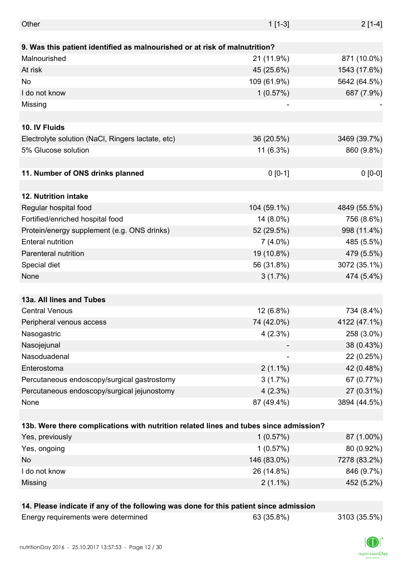| Other                                                                                 | $1[1-3]$    | $2[1-4]$     |
|---------------------------------------------------------------------------------------|-------------|--------------|
|                                                                                       |             |              |
| 9. Was this patient identified as malnourished or at risk of malnutrition?            |             |              |
| Malnourished                                                                          | 21 (11.9%)  | 871 (10.0%)  |
| At risk                                                                               | 45 (25.6%)  | 1543 (17.6%) |
| <b>No</b>                                                                             | 109 (61.9%) | 5642 (64.5%) |
| I do not know                                                                         | 1(0.57%)    | 687 (7.9%)   |
| Missing                                                                               |             |              |
|                                                                                       |             |              |
| 10. IV Fluids                                                                         |             |              |
| Electrolyte solution (NaCl, Ringers lactate, etc)                                     | 36 (20.5%)  | 3469 (39.7%) |
| 5% Glucose solution                                                                   | $11(6.3\%)$ | 860 (9.8%)   |
|                                                                                       |             |              |
| 11. Number of ONS drinks planned                                                      | $0 [0-1]$   | $0 [0-0]$    |
|                                                                                       |             |              |
| <b>12. Nutrition intake</b>                                                           |             |              |
| Regular hospital food                                                                 | 104 (59.1%) | 4849 (55.5%) |
| Fortified/enriched hospital food                                                      | 14 (8.0%)   | 756 (8.6%)   |
| Protein/energy supplement (e.g. ONS drinks)                                           | 52 (29.5%)  | 998 (11.4%)  |
| <b>Enteral nutrition</b>                                                              | $7(4.0\%)$  | 485 (5.5%)   |
| Parenteral nutrition                                                                  | 19 (10.8%)  | 479 (5.5%)   |
| Special diet                                                                          | 56 (31.8%)  | 3072 (35.1%) |
| None                                                                                  | 3(1.7%)     | 474 (5.4%)   |
|                                                                                       |             |              |
| 13a. All lines and Tubes                                                              |             |              |
| <b>Central Venous</b>                                                                 | 12 (6.8%)   | 734 (8.4%)   |
| Peripheral venous access                                                              | 74 (42.0%)  | 4122 (47.1%) |
| Nasogastric                                                                           | $4(2.3\%)$  | 258 (3.0%)   |
| Nasojejunal                                                                           |             | 38 (0.43%)   |
| Nasoduadenal                                                                          |             | 22 (0.25%)   |
| Enterostoma                                                                           | $2(1.1\%)$  | 42 (0.48%)   |
| Percutaneous endoscopy/surgical gastrostomy                                           | 3(1.7%)     | 67 (0.77%)   |
| Percutaneous endoscopy/surgical jejunostomy                                           | $4(2.3\%)$  | 27 (0.31%)   |
| None                                                                                  | 87 (49.4%)  | 3894 (44.5%) |
|                                                                                       |             |              |
| 13b. Were there complications with nutrition related lines and tubes since admission? |             |              |
| Yes, previously                                                                       | 1(0.57%)    | 87 (1.00%)   |
| Yes, ongoing                                                                          | 1(0.57%)    | 80 (0.92%)   |
| No                                                                                    | 146 (83.0%) | 7278 (83.2%) |
| I do not know                                                                         | 26 (14.8%)  | 846 (9.7%)   |
| Missing                                                                               | $2(1.1\%)$  | 452 (5.2%)   |
|                                                                                       |             |              |
| 14. Please indicate if any of the following was done for this patient since admission |             |              |
| Energy requirements were determined                                                   | 63 (35.8%)  | 3103 (35.5%) |

 $|{\mathbb{O}}|^{\circ}$ nutritionDay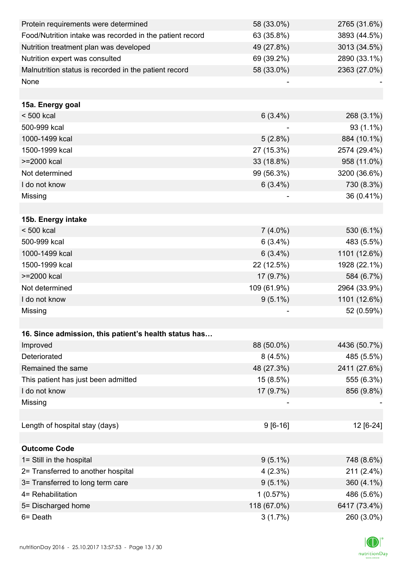| Protein requirements were determined                     | 58 (33.0%)  | 2765 (31.6%) |
|----------------------------------------------------------|-------------|--------------|
| Food/Nutrition intake was recorded in the patient record | 63 (35.8%)  | 3893 (44.5%) |
| Nutrition treatment plan was developed                   | 49 (27.8%)  | 3013 (34.5%) |
| Nutrition expert was consulted                           | 69 (39.2%)  | 2890 (33.1%) |
| Malnutrition status is recorded in the patient record    | 58 (33.0%)  | 2363 (27.0%) |
| None                                                     |             |              |
|                                                          |             |              |
| 15a. Energy goal                                         |             |              |
| $< 500$ kcal                                             | $6(3.4\%)$  | 268 (3.1%)   |
| 500-999 kcal                                             |             | 93 (1.1%)    |
| 1000-1499 kcal                                           | 5(2.8%)     | 884 (10.1%)  |
| 1500-1999 kcal                                           | 27 (15.3%)  | 2574 (29.4%) |
| >=2000 kcal                                              | 33 (18.8%)  | 958 (11.0%)  |
| Not determined                                           | 99 (56.3%)  | 3200 (36.6%) |
| I do not know                                            | $6(3.4\%)$  | 730 (8.3%)   |
| Missing                                                  |             | 36 (0.41%)   |
|                                                          |             |              |
| 15b. Energy intake                                       |             |              |
| $< 500$ kcal                                             | $7(4.0\%)$  | 530 (6.1%)   |
| 500-999 kcal                                             | $6(3.4\%)$  | 483 (5.5%)   |
| 1000-1499 kcal                                           | $6(3.4\%)$  | 1101 (12.6%) |
| 1500-1999 kcal                                           | 22 (12.5%)  | 1928 (22.1%) |
| >=2000 kcal                                              | 17 (9.7%)   | 584 (6.7%)   |
| Not determined                                           | 109 (61.9%) | 2964 (33.9%) |
| I do not know                                            | $9(5.1\%)$  | 1101 (12.6%) |
| Missing                                                  |             | 52 (0.59%)   |
|                                                          |             |              |
| 16. Since admission, this patient's health status has    |             |              |
| Improved                                                 | 88 (50.0%)  | 4436 (50.7%) |
| Deteriorated                                             | 8(4.5%)     | 485 (5.5%)   |
| Remained the same                                        | 48 (27.3%)  | 2411 (27.6%) |
| This patient has just been admitted                      | 15 (8.5%)   | 555 (6.3%)   |
| I do not know                                            | 17 (9.7%)   | 856 (9.8%)   |
| Missing                                                  |             |              |
|                                                          |             |              |
| Length of hospital stay (days)                           | $9[6-16]$   | 12 [6-24]    |
|                                                          |             |              |
| <b>Outcome Code</b>                                      |             |              |
| 1= Still in the hospital                                 | $9(5.1\%)$  | 748 (8.6%)   |
| 2= Transferred to another hospital                       | $4(2.3\%)$  | 211 (2.4%)   |
| 3= Transferred to long term care                         | $9(5.1\%)$  | 360 (4.1%)   |
| 4= Rehabilitation                                        | 1(0.57%)    | 486 (5.6%)   |
| 5= Discharged home                                       | 118 (67.0%) | 6417 (73.4%) |
| 6= Death                                                 | 3(1.7%)     | 260 (3.0%)   |

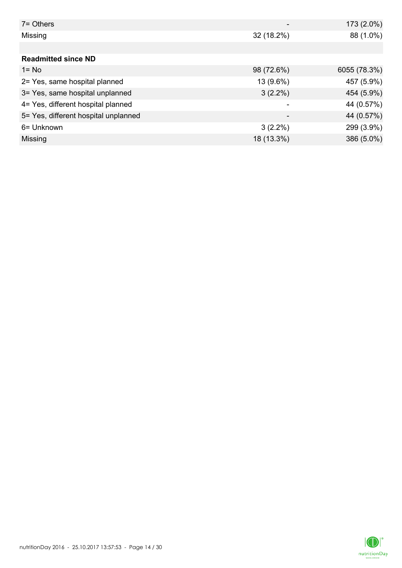| $7 =$ Others                         |            | 173 (2.0%)   |
|--------------------------------------|------------|--------------|
| Missing                              | 32 (18.2%) | 88 (1.0%)    |
|                                      |            |              |
| <b>Readmitted since ND</b>           |            |              |
| $1 = No$                             | 98 (72.6%) | 6055 (78.3%) |
| 2= Yes, same hospital planned        | 13 (9.6%)  | 457 (5.9%)   |
| 3= Yes, same hospital unplanned      | $3(2.2\%)$ | 454 (5.9%)   |
| 4= Yes, different hospital planned   |            | 44 (0.57%)   |
| 5= Yes, different hospital unplanned | -          | 44 (0.57%)   |
| 6= Unknown                           | $3(2.2\%)$ | 299 (3.9%)   |
| Missing                              | 18 (13.3%) | 386 (5.0%)   |

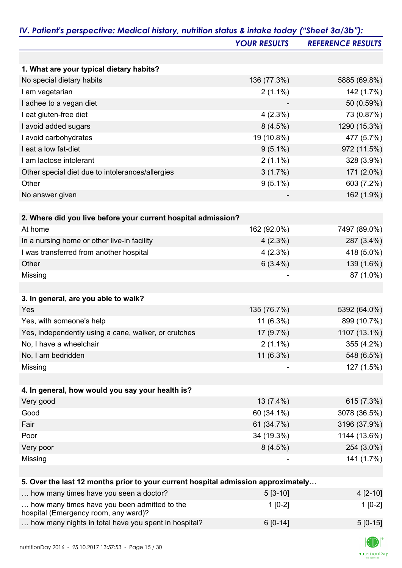|                                                                                   | <b>YOUR RESULTS</b> | <b>REFERENCE RESULTS</b> |
|-----------------------------------------------------------------------------------|---------------------|--------------------------|
|                                                                                   |                     |                          |
| 1. What are your typical dietary habits?                                          |                     |                          |
| No special dietary habits                                                         | 136 (77.3%)         | 5885 (69.8%)             |
| I am vegetarian                                                                   | $2(1.1\%)$          | 142 (1.7%)               |
| I adhee to a vegan diet                                                           |                     | 50 (0.59%)               |
| I eat gluten-free diet                                                            | 4(2.3%)             | 73 (0.87%)               |
| I avoid added sugars                                                              | 8(4.5%)             | 1290 (15.3%)             |
| I avoid carbohydrates                                                             | 19 (10.8%)          | 477 (5.7%)               |
| I eat a low fat-diet                                                              | $9(5.1\%)$          | 972 (11.5%)              |
| I am lactose intolerant                                                           | $2(1.1\%)$          | 328 (3.9%)               |
| Other special diet due to intolerances/allergies                                  | 3(1.7%)             | 171 (2.0%)               |
| Other                                                                             | $9(5.1\%)$          | 603 (7.2%)               |
| No answer given                                                                   |                     | 162 (1.9%)               |
|                                                                                   |                     |                          |
| 2. Where did you live before your current hospital admission?                     |                     |                          |
| At home                                                                           | 162 (92.0%)         | 7497 (89.0%)             |
| In a nursing home or other live-in facility                                       | $4(2.3\%)$          | 287 (3.4%)               |
| I was transferred from another hospital                                           | $4(2.3\%)$          | 418 (5.0%)               |
| Other                                                                             | $6(3.4\%)$          | 139 (1.6%)               |
| Missing                                                                           |                     | 87 (1.0%)                |
| 3. In general, are you able to walk?                                              |                     |                          |
| Yes                                                                               | 135 (76.7%)         | 5392 (64.0%)             |
| Yes, with someone's help                                                          | $11(6.3\%)$         | 899 (10.7%)              |
| Yes, independently using a cane, walker, or crutches                              | 17 (9.7%)           | 1107 (13.1%)             |
| No, I have a wheelchair                                                           | $2(1.1\%)$          | 355 (4.2%)               |
| No, I am bedridden                                                                | 11 (6.3%)           | 548 (6.5%)               |
| Missing                                                                           |                     | 127 (1.5%)               |
|                                                                                   |                     |                          |
| 4. In general, how would you say your health is?                                  |                     |                          |
| Very good                                                                         | 13 (7.4%)           | 615 (7.3%)               |
| Good                                                                              | 60 (34.1%)          | 3078 (36.5%)             |
| Fair                                                                              | 61 (34.7%)          | 3196 (37.9%)             |
| Poor                                                                              | 34 (19.3%)          | 1144 (13.6%)             |
| Very poor                                                                         | 8(4.5%)             | 254 (3.0%)               |
| Missing                                                                           |                     | 141 (1.7%)               |
|                                                                                   |                     |                          |
| 5. Over the last 12 months prior to your current hospital admission approximately |                     |                          |
| how many times have you seen a doctor?                                            | $5[3-10]$           | 4 [2-10]                 |

| $\ldots$ now many unics nave you seem a doctor:                                      | <u>JIJ-IVI</u> | $T12 - T1$ |
|--------------------------------------------------------------------------------------|----------------|------------|
| how many times have you been admitted to the<br>hospital (Emergency room, any ward)? | $1$ [0-2]      | $1$ [0-2]  |
| how many nights in total have you spent in hospital?                                 | $6$ [0-14]     | $5$ [0-15] |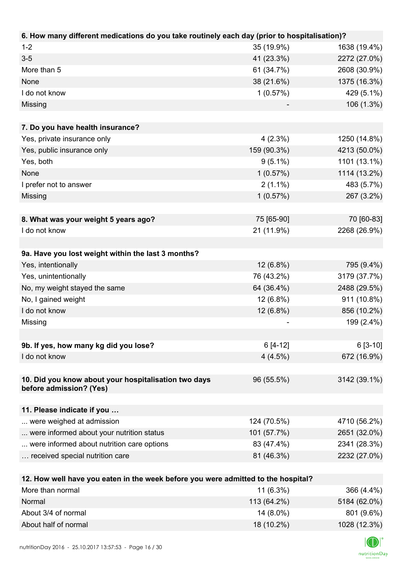| 6. How many different medications do you take routinely each day (prior to hospitalisation)? |             |              |
|----------------------------------------------------------------------------------------------|-------------|--------------|
| $1 - 2$                                                                                      | 35 (19.9%)  | 1638 (19.4%) |
| $3-5$                                                                                        | 41 (23.3%)  | 2272 (27.0%) |
| More than 5                                                                                  | 61 (34.7%)  | 2608 (30.9%) |
| None                                                                                         | 38 (21.6%)  | 1375 (16.3%) |
| I do not know                                                                                | 1(0.57%)    | 429 (5.1%)   |
| Missing                                                                                      |             | 106 (1.3%)   |
|                                                                                              |             |              |
| 7. Do you have health insurance?                                                             |             |              |
| Yes, private insurance only                                                                  | $4(2.3\%)$  | 1250 (14.8%) |
| Yes, public insurance only                                                                   | 159 (90.3%) | 4213 (50.0%) |
| Yes, both                                                                                    | $9(5.1\%)$  | 1101 (13.1%) |
| None                                                                                         | 1(0.57%)    | 1114 (13.2%) |
| I prefer not to answer                                                                       | $2(1.1\%)$  | 483 (5.7%)   |
| Missing                                                                                      | 1(0.57%)    | 267 (3.2%)   |
|                                                                                              |             |              |
| 8. What was your weight 5 years ago?                                                         | 75 [65-90]  | 70 [60-83]   |
| I do not know                                                                                | 21 (11.9%)  | 2268 (26.9%) |
|                                                                                              |             |              |
| 9a. Have you lost weight within the last 3 months?                                           |             |              |
| Yes, intentionally                                                                           | 12 (6.8%)   | 795 (9.4%)   |
| Yes, unintentionally                                                                         | 76 (43.2%)  | 3179 (37.7%) |
| No, my weight stayed the same                                                                | 64 (36.4%)  | 2488 (29.5%) |
| No, I gained weight                                                                          | 12 (6.8%)   | 911 (10.8%)  |
| I do not know                                                                                | 12 (6.8%)   | 856 (10.2%)  |
| Missing                                                                                      |             | 199 (2.4%)   |
|                                                                                              |             |              |
| 9b. If yes, how many kg did you lose?                                                        | $6[4-12]$   | $6[3-10]$    |
| I do not know                                                                                | 4(4.5%)     | 672 (16.9%)  |
|                                                                                              |             |              |
| 10. Did you know about your hospitalisation two days                                         | 96 (55.5%)  | 3142 (39.1%) |
| before admission? (Yes)                                                                      |             |              |
|                                                                                              |             |              |
| 11. Please indicate if you                                                                   |             |              |
| were weighed at admission                                                                    | 124 (70.5%) | 4710 (56.2%) |
| were informed about your nutrition status                                                    | 101 (57.7%) | 2651 (32.0%) |
| were informed about nutrition care options                                                   | 83 (47.4%)  | 2341 (28.3%) |
| received special nutrition care                                                              | 81 (46.3%)  | 2232 (27.0%) |
|                                                                                              |             |              |
| 12. How well have you eaten in the week before you were admitted to the hospital?            |             |              |
| More than normal                                                                             | $11(6.3\%)$ | 366 (4.4%)   |
| Normal                                                                                       | 113 (64.2%) | 5184 (62.0%) |
| About 3/4 of normal                                                                          | 14 (8.0%)   | 801 (9.6%)   |

About half of normal 18 (10.2%) 1028 (12.3%)

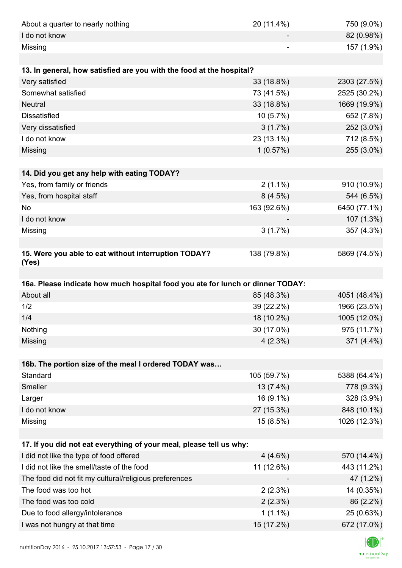| About a quarter to nearly nothing                                              | 20 (11.4%)  | 750 (9.0%)   |
|--------------------------------------------------------------------------------|-------------|--------------|
| I do not know                                                                  |             | 82 (0.98%)   |
| Missing                                                                        |             | 157 (1.9%)   |
|                                                                                |             |              |
| 13. In general, how satisfied are you with the food at the hospital?           |             |              |
| Very satisfied                                                                 | 33 (18.8%)  | 2303 (27.5%) |
| Somewhat satisfied                                                             | 73 (41.5%)  | 2525 (30.2%) |
| <b>Neutral</b>                                                                 | 33 (18.8%)  | 1669 (19.9%) |
| <b>Dissatisfied</b>                                                            | 10(5.7%)    | 652 (7.8%)   |
| Very dissatisfied                                                              | 3(1.7%)     | 252 (3.0%)   |
| I do not know                                                                  | 23 (13.1%)  | 712 (8.5%)   |
| Missing                                                                        | 1(0.57%)    | 255 (3.0%)   |
|                                                                                |             |              |
| 14. Did you get any help with eating TODAY?                                    |             |              |
| Yes, from family or friends                                                    | $2(1.1\%)$  | 910 (10.9%)  |
| Yes, from hospital staff                                                       | 8(4.5%)     | 544 (6.5%)   |
| <b>No</b>                                                                      | 163 (92.6%) | 6450 (77.1%) |
| I do not know                                                                  |             | 107 (1.3%)   |
| Missing                                                                        | 3(1.7%)     | 357 (4.3%)   |
|                                                                                |             |              |
| 15. Were you able to eat without interruption TODAY?<br>(Yes)                  | 138 (79.8%) | 5869 (74.5%) |
|                                                                                |             |              |
| 16a. Please indicate how much hospital food you ate for lunch or dinner TODAY: |             |              |
| About all                                                                      | 85 (48.3%)  | 4051 (48.4%) |
| 1/2                                                                            | 39 (22.2%)  | 1966 (23.5%) |
| 1/4                                                                            | 18 (10.2%)  | 1005 (12.0%) |
| Nothing                                                                        | 30 (17.0%)  | 975 (11.7%)  |
| Missing                                                                        | 4(2.3%)     | 371 (4.4%)   |
|                                                                                |             |              |
| 16b. The portion size of the meal I ordered TODAY was                          |             |              |
| Standard                                                                       | 105 (59.7%) | 5388 (64.4%) |
| Smaller                                                                        | 13 (7.4%)   | 778 (9.3%)   |
| Larger                                                                         | 16 (9.1%)   | 328 (3.9%)   |
| I do not know                                                                  | 27 (15.3%)  | 848 (10.1%)  |
| Missing                                                                        | 15 (8.5%)   | 1026 (12.3%) |
|                                                                                |             |              |
| 17. If you did not eat everything of your meal, please tell us why:            |             |              |
| I did not like the type of food offered                                        | $4(4.6\%)$  | 570 (14.4%)  |
| I did not like the smell/taste of the food                                     | 11 (12.6%)  | 443 (11.2%)  |
| The food did not fit my cultural/religious preferences                         |             | 47 (1.2%)    |
| The food was too hot                                                           | 2(2.3%)     | 14 (0.35%)   |
| The food was too cold                                                          | 2(2.3%)     | 86 (2.2%)    |
| Due to food allergy/intolerance                                                | $1(1.1\%)$  | 25 (0.63%)   |
| I was not hungry at that time                                                  | 15 (17.2%)  | 672 (17.0%)  |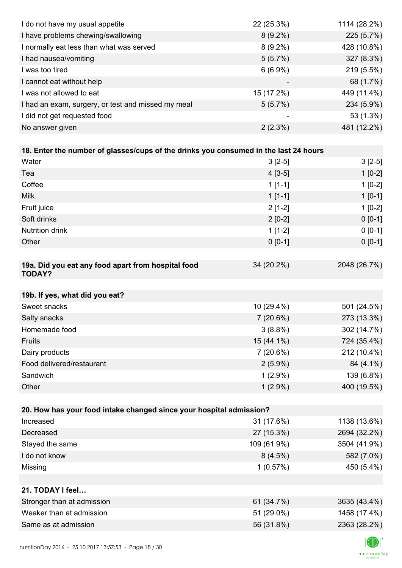| I do not have my usual appetite                                                      | 22 (25.3%)  | 1114 (28.2%) |
|--------------------------------------------------------------------------------------|-------------|--------------|
| I have problems chewing/swallowing                                                   | $8(9.2\%)$  | 225 (5.7%)   |
| I normally eat less than what was served                                             | $8(9.2\%)$  | 428 (10.8%)  |
| I had nausea/vomiting                                                                | 5(5.7%)     | 327 (8.3%)   |
| I was too tired                                                                      | $6(6.9\%)$  | 219 (5.5%)   |
| I cannot eat without help                                                            |             | 68 (1.7%)    |
| I was not allowed to eat                                                             | 15 (17.2%)  | 449 (11.4%)  |
| I had an exam, surgery, or test and missed my meal                                   | 5(5.7%)     | 234 (5.9%)   |
| I did not get requested food                                                         |             | 53 (1.3%)    |
| No answer given                                                                      | $2(2.3\%)$  | 481 (12.2%)  |
|                                                                                      |             |              |
| 18. Enter the number of glasses/cups of the drinks you consumed in the last 24 hours |             |              |
| Water                                                                                | $3[2-5]$    | $3[2-5]$     |
| Tea                                                                                  | $4[3-5]$    | $1[0-2]$     |
| Coffee                                                                               | $1[1-1]$    | $1[0-2]$     |
| <b>Milk</b>                                                                          | $1[1-1]$    | $1[0-1]$     |
| Fruit juice                                                                          | $2[1-2]$    | $1[0-2]$     |
| Soft drinks                                                                          | $2[0-2]$    | $0[0-1]$     |
| Nutrition drink                                                                      | $1[1-2]$    | $0[0-1]$     |
| Other                                                                                | $0 [0-1]$   | $0 [0-1]$    |
|                                                                                      |             |              |
| 19a. Did you eat any food apart from hospital food<br><b>TODAY?</b>                  | 34 (20.2%)  | 2048 (26.7%) |
| 19b. If yes, what did you eat?                                                       |             |              |
| Sweet snacks                                                                         | 10 (29.4%)  | 501 (24.5%)  |
| Salty snacks                                                                         | 7(20.6%)    | 273 (13.3%)  |
| Homemade food                                                                        | $3(8.8\%)$  | 302 (14.7%)  |
| Fruits                                                                               | 15 (44.1%)  | 724 (35.4%)  |
| Dairy products                                                                       | 7(20.6%)    | 212 (10.4%)  |
| Food delivered/restaurant                                                            | $2(5.9\%)$  | 84 (4.1%)    |
| Sandwich                                                                             | $1(2.9\%)$  | 139 (6.8%)   |
| Other                                                                                | $1(2.9\%)$  | 400 (19.5%)  |
|                                                                                      |             |              |
| 20. How has your food intake changed since your hospital admission?                  |             |              |
| Increased                                                                            | 31 (17.6%)  | 1138 (13.6%) |
| Decreased                                                                            | 27 (15.3%)  | 2694 (32.2%) |
| Stayed the same                                                                      | 109 (61.9%) | 3504 (41.9%) |
| I do not know                                                                        | 8(4.5%)     | 582 (7.0%)   |
| Missing                                                                              | 1(0.57%)    | 450 (5.4%)   |
|                                                                                      |             |              |
| 21. TODAY I feel                                                                     |             |              |
| Stronger than at admission                                                           | 61 (34.7%)  | 3635 (43.4%) |
| Weaker than at admission                                                             | 51 (29.0%)  | 1458 (17.4%) |
| Same as at admission                                                                 | 56 (31.8%)  | 2363 (28.2%) |
|                                                                                      |             |              |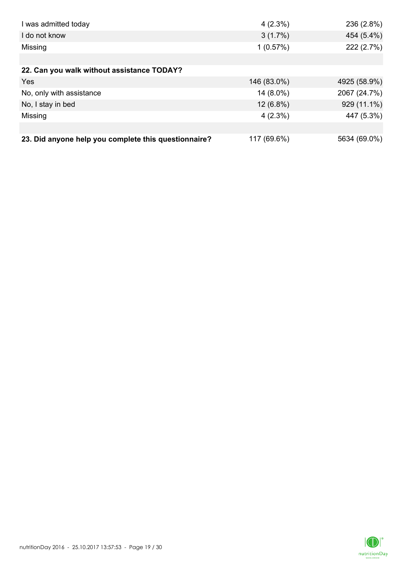| I was admitted today                                 | $4(2.3\%)$  | 236 (2.8%)   |
|------------------------------------------------------|-------------|--------------|
| I do not know                                        | 3(1.7%)     | 454 (5.4%)   |
| Missing                                              | 1(0.57%)    | 222 (2.7%)   |
|                                                      |             |              |
| 22. Can you walk without assistance TODAY?           |             |              |
| Yes                                                  | 146 (83.0%) | 4925 (58.9%) |
| No, only with assistance                             | 14 (8.0%)   | 2067 (24.7%) |
| No, I stay in bed                                    | $12(6.8\%)$ | 929 (11.1%)  |
| Missing                                              | $4(2.3\%)$  | 447 (5.3%)   |
|                                                      |             |              |
| 23. Did anyone help you complete this questionnaire? | 117 (69.6%) | 5634 (69.0%) |

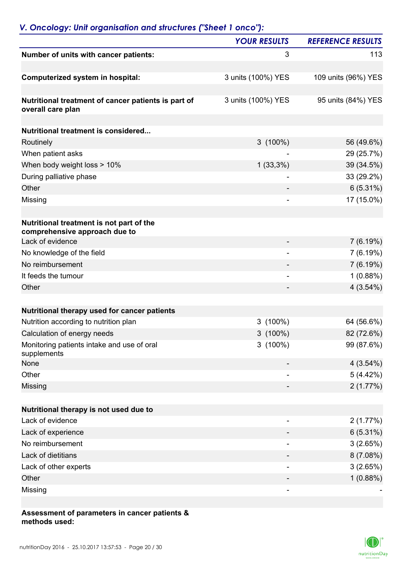|                                                                           | <b>YOUR RESULTS</b> | <b>REFERENCE RESULTS</b> |
|---------------------------------------------------------------------------|---------------------|--------------------------|
| Number of units with cancer patients:                                     | 3                   | 113                      |
| <b>Computerized system in hospital:</b>                                   | 3 units (100%) YES  | 109 units (96%) YES      |
|                                                                           |                     |                          |
| Nutritional treatment of cancer patients is part of<br>overall care plan  | 3 units (100%) YES  | 95 units (84%) YES       |
| Nutritional treatment is considered                                       |                     |                          |
| Routinely                                                                 | $3(100\%)$          | 56 (49.6%)               |
| When patient asks                                                         |                     | 29 (25.7%)               |
| When body weight loss > 10%                                               | $1(33,3\%)$         | 39 (34.5%)               |
|                                                                           |                     |                          |
| During palliative phase<br>Other                                          |                     | 33 (29.2%)               |
|                                                                           |                     | $6(5.31\%)$              |
| Missing                                                                   |                     | 17 (15.0%)               |
| Nutritional treatment is not part of the<br>comprehensive approach due to |                     |                          |
| Lack of evidence                                                          |                     | 7(6.19%)                 |
| No knowledge of the field                                                 |                     | 7(6.19%)                 |
| No reimbursement                                                          |                     | 7(6.19%)                 |
| It feeds the tumour                                                       |                     | 1(0.88%)                 |
| Other                                                                     |                     | 4(3.54%)                 |
|                                                                           |                     |                          |
| Nutritional therapy used for cancer patients                              |                     |                          |
| Nutrition according to nutrition plan                                     | $3(100\%)$          | 64 (56.6%)               |
| Calculation of energy needs                                               | $3(100\%)$          | 82 (72.6%)               |
| Monitoring patients intake and use of oral<br>supplements                 | $3(100\%)$          | 99 (87.6%)               |
| None                                                                      |                     | 4(3.54%)                 |
| Other                                                                     |                     | 5(4.42%)                 |
| Missing                                                                   |                     | 2(1.77%)                 |
| Nutritional therapy is not used due to                                    |                     |                          |
| Lack of evidence                                                          |                     |                          |
|                                                                           |                     | 2(1.77%)                 |
| Lack of experience                                                        |                     | 6(5.31%)                 |
| No reimbursement                                                          |                     | 3(2.65%)                 |
| Lack of dietitians                                                        |                     | 8(7.08%)                 |
| Lack of other experts                                                     |                     | 3(2.65%)                 |
| Other                                                                     |                     | 1(0.88%)                 |
| Missing                                                                   |                     |                          |

#### **Assessment of parameters in cancer patients & methods used:**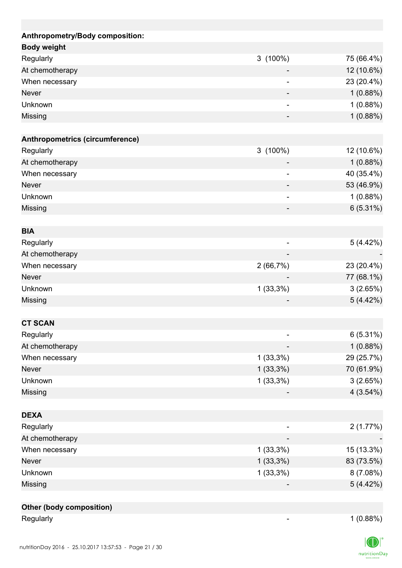| Anthropometry/Body composition: |                              |            |
|---------------------------------|------------------------------|------------|
| <b>Body weight</b>              |                              |            |
| Regularly                       | $3(100\%)$                   | 75 (66.4%) |
| At chemotherapy                 |                              | 12 (10.6%) |
| When necessary                  |                              | 23 (20.4%) |
| <b>Never</b>                    |                              | 1(0.88%)   |
| Unknown                         | $\overline{\phantom{a}}$     | 1(0.88%)   |
| Missing                         |                              | 1(0.88%)   |
| Anthropometrics (circumference) |                              |            |
| Regularly                       | $3(100\%)$                   | 12 (10.6%) |
| At chemotherapy                 |                              | 1(0.88%)   |
| When necessary                  | ÷                            | 40 (35.4%) |
| <b>Never</b>                    |                              | 53 (46.9%) |
| Unknown                         | $\qquad \qquad \blacksquare$ | 1(0.88%)   |
| Missing                         |                              | 6(5.31%)   |
| <b>BIA</b>                      |                              |            |
| Regularly                       | $\overline{\phantom{0}}$     | 5(4.42%)   |
| At chemotherapy                 |                              |            |
| When necessary                  | 2(66,7%)                     | 23 (20.4%) |
| <b>Never</b>                    |                              | 77 (68.1%) |
| Unknown                         | $1(33,3\%)$                  | 3(2.65%)   |
| Missing                         |                              | 5(4.42%)   |
| <b>CT SCAN</b>                  |                              |            |
| Regularly                       |                              | 6(5.31%)   |
| At chemotherapy                 |                              | 1(0.88%)   |
| When necessary                  | $1(33,3\%)$                  | 29 (25.7%) |
| Never                           | $1(33,3\%)$                  | 70 (61.9%) |
| Unknown                         | $1(33,3\%)$                  | 3(2.65%)   |
| Missing                         |                              | 4(3.54%)   |
|                                 |                              |            |
| <b>DEXA</b>                     |                              |            |
| Regularly                       |                              | 2(1.77%)   |
| At chemotherapy                 |                              |            |
| When necessary                  | $1(33,3\%)$                  | 15 (13.3%) |
| <b>Never</b>                    | $1(33,3\%)$                  | 83 (73.5%) |
| Unknown                         | $1(33,3\%)$                  | 8(7.08%)   |
| Missing                         |                              | 5(4.42%)   |
|                                 |                              |            |
| Other (body composition)        |                              |            |
| Regularly                       |                              | 1(0.88%)   |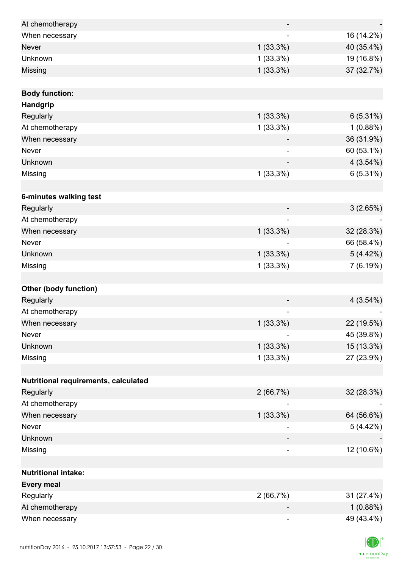| At chemotherapy                      |                              |             |
|--------------------------------------|------------------------------|-------------|
| When necessary                       |                              | 16 (14.2%)  |
| <b>Never</b>                         | $1(33,3\%)$                  | 40 (35.4%)  |
| Unknown                              | $1(33,3\%)$                  | 19 (16.8%)  |
| Missing                              | $1(33,3\%)$                  | 37 (32.7%)  |
|                                      |                              |             |
| <b>Body function:</b>                |                              |             |
| Handgrip                             |                              |             |
| Regularly                            | $1(33,3\%)$                  | $6(5.31\%)$ |
| At chemotherapy                      | $1(33,3\%)$                  | 1(0.88%)    |
| When necessary                       |                              | 36 (31.9%)  |
| Never                                |                              | 60 (53.1%)  |
| Unknown                              |                              | 4(3.54%)    |
| Missing                              | $1(33,3\%)$                  | 6(5.31%)    |
|                                      |                              |             |
| 6-minutes walking test               |                              |             |
| Regularly                            |                              | 3(2.65%)    |
| At chemotherapy                      |                              |             |
| When necessary                       | $1(33,3\%)$                  | 32 (28.3%)  |
| Never                                |                              | 66 (58.4%)  |
| Unknown                              | $1(33,3\%)$                  | 5(4.42%)    |
| Missing                              | $1(33,3\%)$                  | 7(6.19%)    |
|                                      |                              |             |
| <b>Other (body function)</b>         |                              |             |
| Regularly                            |                              | 4(3.54%)    |
| At chemotherapy                      | $\qquad \qquad \blacksquare$ |             |
| When necessary                       | $1(33,3\%)$                  | 22 (19.5%)  |
| Never                                |                              | 45 (39.8%)  |
| Unknown                              | $1(33,3\%)$                  | 15 (13.3%)  |
| Missing                              | $1(33,3\%)$                  | 27 (23.9%)  |
|                                      |                              |             |
| Nutritional requirements, calculated |                              |             |
| Regularly                            | 2(66,7%)                     | 32 (28.3%)  |
| At chemotherapy                      |                              |             |
| When necessary                       | $1(33,3\%)$                  | 64 (56.6%)  |
| Never                                |                              | 5(4.42%)    |
| Unknown                              |                              |             |
| Missing                              | $\overline{\phantom{a}}$     | 12 (10.6%)  |
|                                      |                              |             |
| <b>Nutritional intake:</b>           |                              |             |
| <b>Every meal</b>                    |                              |             |
| Regularly                            | 2(66,7%)                     | 31 (27.4%)  |
| At chemotherapy                      |                              | 1(0.88%)    |
| When necessary                       | -                            | 49 (43.4%)  |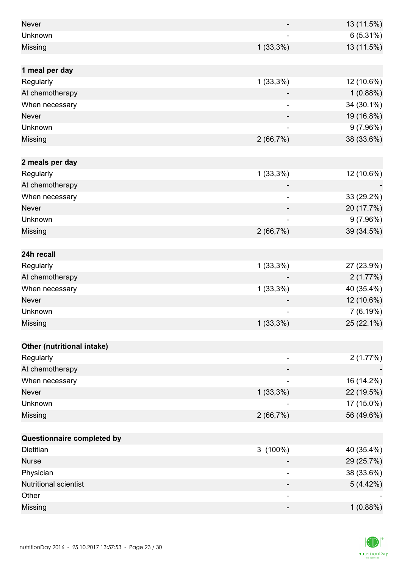| <b>Never</b>                 |                              | 13 (11.5%) |
|------------------------------|------------------------------|------------|
| Unknown                      |                              | 6(5.31%)   |
| Missing                      | $1(33,3\%)$                  | 13 (11.5%) |
|                              |                              |            |
| 1 meal per day               |                              |            |
| Regularly                    | $1(33,3\%)$                  | 12 (10.6%) |
| At chemotherapy              |                              | 1(0.88%)   |
| When necessary               |                              | 34 (30.1%) |
| <b>Never</b>                 |                              | 19 (16.8%) |
| Unknown                      | ۰                            | 9(7.96%)   |
| Missing                      | 2(66,7%)                     | 38 (33.6%) |
|                              |                              |            |
| 2 meals per day              |                              |            |
| Regularly                    | $1(33,3\%)$                  | 12 (10.6%) |
| At chemotherapy              |                              |            |
| When necessary               | $\qquad \qquad \blacksquare$ | 33 (29.2%) |
| <b>Never</b>                 |                              | 20 (17.7%) |
| Unknown                      | -                            | 9(7.96%)   |
| Missing                      | 2(66,7%)                     | 39 (34.5%) |
|                              |                              |            |
| 24h recall                   |                              |            |
| Regularly                    | $1(33,3\%)$                  | 27 (23.9%) |
| At chemotherapy              |                              | 2(1.77%)   |
| When necessary               | $1(33,3\%)$                  | 40 (35.4%) |
| <b>Never</b>                 |                              | 12 (10.6%) |
| Unknown                      | -                            | 7(6.19%)   |
| Missing                      | $1(33,3\%)$                  | 25 (22.1%) |
|                              |                              |            |
| Other (nutritional intake)   |                              |            |
| Regularly                    | ۰                            | 2(1.77%)   |
| At chemotherapy              |                              |            |
| When necessary               |                              | 16 (14.2%) |
| Never                        | $1(33,3\%)$                  | 22 (19.5%) |
| Unknown                      |                              | 17 (15.0%) |
| Missing                      | 2(66,7%)                     | 56 (49.6%) |
|                              |                              |            |
| Questionnaire completed by   |                              |            |
| Dietitian                    | $3(100\%)$                   | 40 (35.4%) |
| <b>Nurse</b>                 |                              | 29 (25.7%) |
| Physician                    |                              | 38 (33.6%) |
| <b>Nutritional scientist</b> |                              | 5(4.42%)   |
| Other                        | $\overline{\phantom{0}}$     |            |
| Missing                      | -                            | 1(0.88%)   |

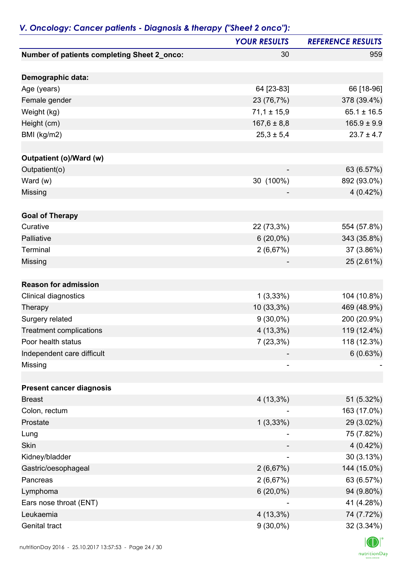|                                             | <b>YOUR RESULTS</b> | <b>REFERENCE RESULTS</b> |
|---------------------------------------------|---------------------|--------------------------|
| Number of patients completing Sheet 2_onco: | 30                  | 959                      |
| Demographic data:                           |                     |                          |
| Age (years)                                 | 64 [23-83]          | 66 [18-96]               |
| Female gender                               | 23 (76,7%)          | 378 (39.4%)              |
| Weight (kg)                                 | $71,1 \pm 15,9$     | $65.1 \pm 16.5$          |
| Height (cm)                                 | $167,6 \pm 8,8$     | $165.9 \pm 9.9$          |
| BMI (kg/m2)                                 | $25,3 \pm 5,4$      | $23.7 \pm 4.7$           |
|                                             |                     |                          |
| <b>Outpatient (o)/Ward (w)</b>              |                     |                          |
| Outpatient(o)                               |                     | 63 (6.57%)               |
| Ward (w)                                    | 30 (100%)           | 892 (93.0%)              |
| Missing                                     |                     | $4(0.42\%)$              |
|                                             |                     |                          |
| <b>Goal of Therapy</b><br>Curative          |                     |                          |
|                                             | 22 (73,3%)          | 554 (57.8%)              |
| Palliative                                  | $6(20,0\%)$         | 343 (35.8%)              |
| Terminal                                    | 2(6,67%)            | 37 (3.86%)               |
| <b>Missing</b>                              |                     | 25 (2.61%)               |
| <b>Reason for admission</b>                 |                     |                          |
| Clinical diagnostics                        | $1(3,33\%)$         | 104 (10.8%)              |
| Therapy                                     | 10 (33,3%)          | 469 (48.9%)              |
| Surgery related                             | $9(30,0\%)$         | 200 (20.9%)              |
| <b>Treatment complications</b>              | $4(13,3\%)$         | 119 (12.4%)              |
| Poor health status                          | $7(23,3\%)$         | 118 (12.3%)              |
| Independent care difficult                  |                     | 6(0.63%)                 |
| Missing                                     |                     |                          |
|                                             |                     |                          |
| <b>Present cancer diagnosis</b>             |                     |                          |
| <b>Breast</b>                               | $4(13,3\%)$         | 51 (5.32%)               |
| Colon, rectum                               |                     | 163 (17.0%)              |
| Prostate                                    | 1(3,33%)            | 29 (3.02%)               |
| Lung                                        |                     | 75 (7.82%)               |
| Skin                                        |                     | 4(0.42%)                 |
| Kidney/bladder                              |                     | 30(3.13%)                |
| Gastric/oesophageal                         | 2(6,67%)            | 144 (15.0%)              |
| Pancreas                                    | 2(6,67%)            | 63 (6.57%)               |
| Lymphoma                                    | $6(20,0\%)$         | 94 (9.80%)               |
| Ears nose throat (ENT)                      |                     | 41 (4.28%)               |
| Leukaemia                                   | $4(13,3\%)$         | 74 (7.72%)               |
| Genital tract                               | $9(30,0\%)$         | 32 (3.34%)               |

## *V. Oncology: Cancer patients - Diagnosis & therapy ("Sheet 2 onco"):*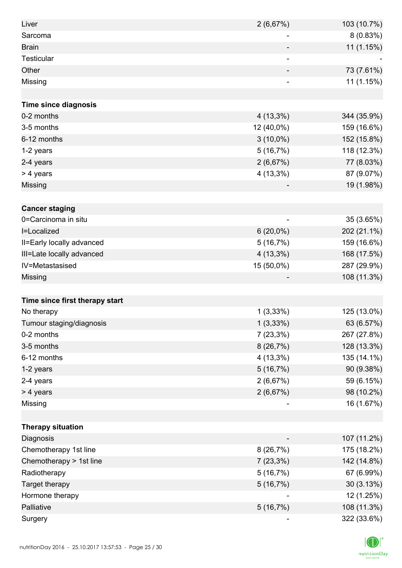| Liver                          | 2(6,67%)    | 103 (10.7%) |
|--------------------------------|-------------|-------------|
| Sarcoma                        | ۰           | 8 (0.83%)   |
| <b>Brain</b>                   |             | 11 (1.15%)  |
| Testicular                     |             |             |
| Other                          |             | 73 (7.61%)  |
| Missing                        |             | 11 (1.15%)  |
|                                |             |             |
| Time since diagnosis           |             |             |
| 0-2 months                     | $4(13,3\%)$ | 344 (35.9%) |
| 3-5 months                     | 12 (40,0%)  | 159 (16.6%) |
| 6-12 months                    | $3(10,0\%)$ | 152 (15.8%) |
| 1-2 years                      | 5(16,7%)    | 118 (12.3%) |
| 2-4 years                      | 2(6,67%)    | 77 (8.03%)  |
| > 4 years                      | 4 (13,3%)   | 87 (9.07%)  |
| Missing                        |             | 19 (1.98%)  |
|                                |             |             |
| <b>Cancer staging</b>          |             |             |
| 0=Carcinoma in situ            |             | 35 (3.65%)  |
| I=Localized                    | $6(20,0\%)$ | 202 (21.1%) |
| II=Early locally advanced      | 5(16,7%)    | 159 (16.6%) |
| III=Late locally advanced      | $4(13,3\%)$ | 168 (17.5%) |
| IV=Metastasised                | 15 (50,0%)  | 287 (29.9%) |
| Missing                        |             | 108 (11.3%) |
|                                |             |             |
| Time since first therapy start |             |             |
| No therapy                     | 1(3,33%)    | 125 (13.0%) |
| Tumour staging/diagnosis       | $1(3,33\%)$ | 63 (6.57%)  |
| 0-2 months                     | $7(23,3\%)$ | 267 (27.8%) |
| 3-5 months                     | 8(26,7%)    | 128 (13.3%) |
| 6-12 months                    | $4(13,3\%)$ | 135 (14.1%) |
| 1-2 years                      | 5(16,7%)    | 90 (9.38%)  |
| 2-4 years                      | 2(6,67%)    | 59 (6.15%)  |
| > 4 years                      | 2(6,67%)    | 98 (10.2%)  |
| Missing                        |             | 16 (1.67%)  |
|                                |             |             |
| <b>Therapy situation</b>       |             |             |
| Diagnosis                      |             | 107 (11.2%) |
| Chemotherapy 1st line          | 8(26,7%)    | 175 (18.2%) |
| Chemotherapy > 1st line        | $7(23,3\%)$ | 142 (14.8%) |
| Radiotherapy                   | 5(16,7%)    | 67 (6.99%)  |
| Target therapy                 | 5(16,7%)    | 30(3.13%)   |
| Hormone therapy                |             | 12 (1.25%)  |
| Palliative                     | 5(16,7%)    | 108 (11.3%) |
| Surgery                        |             | 322 (33.6%) |

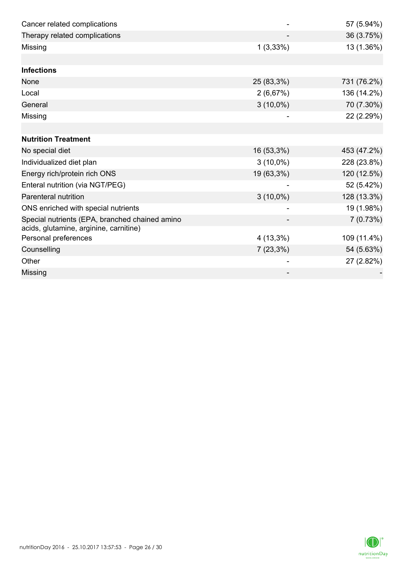| Cancer related complications                                                             |             | 57 (5.94%)  |
|------------------------------------------------------------------------------------------|-------------|-------------|
| Therapy related complications                                                            |             | 36 (3.75%)  |
| Missing                                                                                  | $1(3,33\%)$ | 13 (1.36%)  |
|                                                                                          |             |             |
| <b>Infections</b>                                                                        |             |             |
| None                                                                                     | 25 (83,3%)  | 731 (76.2%) |
| Local                                                                                    | 2(6,67%)    | 136 (14.2%) |
| General                                                                                  | $3(10,0\%)$ | 70 (7.30%)  |
| Missing                                                                                  |             | 22 (2.29%)  |
|                                                                                          |             |             |
| <b>Nutrition Treatment</b>                                                               |             |             |
| No special diet                                                                          | 16 (53,3%)  | 453 (47.2%) |
| Individualized diet plan                                                                 | $3(10,0\%)$ | 228 (23.8%) |
| Energy rich/protein rich ONS                                                             | 19 (63,3%)  | 120 (12.5%) |
| Enteral nutrition (via NGT/PEG)                                                          |             | 52 (5.42%)  |
| <b>Parenteral nutrition</b>                                                              | $3(10,0\%)$ | 128 (13.3%) |
| ONS enriched with special nutrients                                                      |             | 19 (1.98%)  |
| Special nutrients (EPA, branched chained amino<br>acids, glutamine, arginine, carnitine) |             | 7(0.73%)    |
| Personal preferences                                                                     | 4 (13,3%)   | 109 (11.4%) |
| Counselling                                                                              | $7(23,3\%)$ | 54 (5.63%)  |
| Other                                                                                    |             | 27 (2.82%)  |
| Missing                                                                                  |             |             |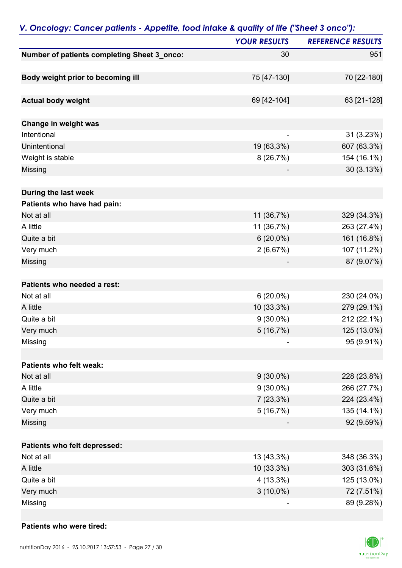|                                             | <b>YOUR RESULTS</b>      | <b>REFERENCE RESULTS</b> |
|---------------------------------------------|--------------------------|--------------------------|
| Number of patients completing Sheet 3_onco: | 30                       | 951                      |
|                                             | 75 [47-130]              | 70 [22-180]              |
| Body weight prior to becoming ill           |                          |                          |
| <b>Actual body weight</b>                   | 69 [42-104]              | 63 [21-128]              |
| Change in weight was                        |                          |                          |
| Intentional                                 | $\overline{\phantom{0}}$ | 31(3.23%)                |
| Unintentional                               | 19 (63,3%)               | 607 (63.3%)              |
| Weight is stable                            | 8(26,7%)                 | 154 (16.1%)              |
| Missing                                     |                          | 30 (3.13%)               |
| During the last week                        |                          |                          |
| Patients who have had pain:                 |                          |                          |
| Not at all                                  | 11 (36,7%)               | 329 (34.3%)              |
| A little                                    | 11 (36,7%)               | 263 (27.4%)              |
| Quite a bit                                 | $6(20,0\%)$              | 161 (16.8%)              |
| Very much                                   | 2(6,67%)                 | 107 (11.2%)              |
| Missing                                     |                          | 87 (9.07%)               |
| Patients who needed a rest:                 |                          |                          |
| Not at all                                  | $6(20,0\%)$              | 230 (24.0%)              |
| A little                                    | 10 (33,3%)               | 279 (29.1%)              |
| Quite a bit                                 | $9(30,0\%)$              | 212 (22.1%)              |
| Very much                                   | 5(16,7%)                 | 125 (13.0%)              |
| Missing                                     |                          | 95 (9.91%)               |
| Patients who felt weak:                     |                          |                          |
| Not at all                                  | $9(30,0\%)$              | 228 (23.8%)              |
| A little                                    | $9(30,0\%)$              | 266 (27.7%)              |
| Quite a bit                                 | $7(23,3\%)$              | 224 (23.4%)              |
| Very much                                   | 5(16,7%)                 | 135 (14.1%)              |
| Missing                                     |                          | 92 (9.59%)               |
| Patients who felt depressed:                |                          |                          |
| Not at all                                  | 13 (43,3%)               | 348 (36.3%)              |
| A little                                    | 10 (33,3%)               | 303 (31.6%)              |
| Quite a bit                                 | $4(13,3\%)$              | 125 (13.0%)              |
| Very much                                   | $3(10,0\%)$              | 72 (7.51%)               |
| Missing                                     |                          | 89 (9.28%)               |

#### *V. Oncology: Cancer patients - Appetite, food intake & quality of life ("Sheet 3 onco"):*

#### **Patients who were tired:**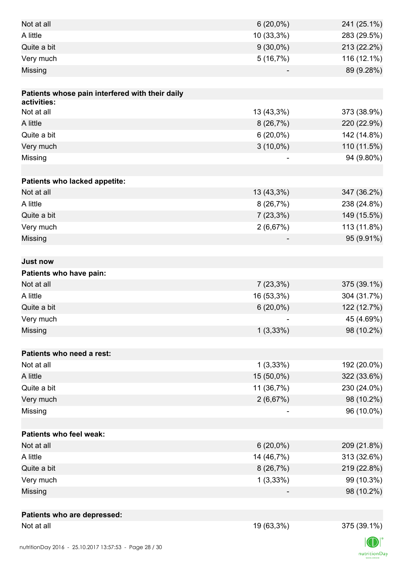| Not at all                                      | $6(20,0\%)$ | 241 (25.1%) |
|-------------------------------------------------|-------------|-------------|
| A little                                        | 10 (33,3%)  | 283 (29.5%) |
| Quite a bit                                     | $9(30,0\%)$ | 213 (22.2%) |
| Very much                                       | 5(16,7%)    | 116 (12.1%) |
| Missing                                         |             | 89 (9.28%)  |
|                                                 |             |             |
| Patients whose pain interfered with their daily |             |             |
| activities:                                     |             |             |
| Not at all                                      | 13 (43,3%)  | 373 (38.9%) |
| A little                                        | 8(26,7%)    | 220 (22.9%) |
| Quite a bit                                     | $6(20,0\%)$ | 142 (14.8%) |
| Very much                                       | $3(10,0\%)$ | 110 (11.5%) |
| Missing                                         |             | 94 (9.80%)  |
|                                                 |             |             |
| Patients who lacked appetite:<br>Not at all     | 13 (43,3%)  | 347 (36.2%) |
| A little                                        |             |             |
|                                                 | 8(26,7%)    | 238 (24.8%) |
| Quite a bit                                     | $7(23,3\%)$ | 149 (15.5%) |
| Very much                                       | 2(6,67%)    | 113 (11.8%) |
| Missing                                         |             | 95 (9.91%)  |
| <b>Just now</b>                                 |             |             |
| Patients who have pain:                         |             |             |
| Not at all                                      | $7(23,3\%)$ | 375 (39.1%) |
| A little                                        | 16 (53,3%)  | 304 (31.7%) |
| Quite a bit                                     | $6(20,0\%)$ | 122 (12.7%) |
| Very much                                       |             | 45 (4.69%)  |
| Missing                                         | 1(3,33%)    | 98 (10.2%)  |
|                                                 |             |             |
| Patients who need a rest:                       |             |             |
| Not at all                                      | $1(3,33\%)$ | 192 (20.0%) |
| A little                                        | 15 (50,0%)  | 322 (33.6%) |
| Quite a bit                                     | 11 (36,7%)  | 230 (24.0%) |
| Very much                                       | 2(6,67%)    | 98 (10.2%)  |
| Missing                                         |             | 96 (10.0%)  |
|                                                 |             |             |
| <b>Patients who feel weak:</b>                  |             |             |
| Not at all                                      | $6(20,0\%)$ | 209 (21.8%) |
| A little                                        | 14 (46,7%)  | 313 (32.6%) |
| Quite a bit                                     | 8(26,7%)    | 219 (22.8%) |
| Very much                                       | 1(3,33%)    | 99 (10.3%)  |
| Missing                                         |             | 98 (10.2%)  |
|                                                 |             |             |
| Patients who are depressed:                     |             |             |
| Not at all                                      | 19 (63,3%)  | 375 (39.1%) |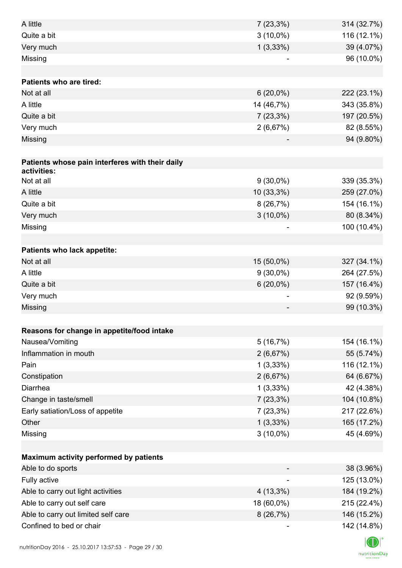| A little                                                           | $7(23,3\%)$            | 314 (32.7%) |
|--------------------------------------------------------------------|------------------------|-------------|
| Quite a bit                                                        | $3(10,0\%)$            | 116 (12.1%) |
| Very much                                                          | 1(3,33%)               | 39 (4.07%)  |
| Missing                                                            |                        | 96 (10.0%)  |
|                                                                    |                        |             |
| <b>Patients who are tired:</b>                                     |                        |             |
| Not at all                                                         | $6(20,0\%)$            | 222 (23.1%) |
| A little                                                           | 14 (46,7%)             | 343 (35.8%) |
| Quite a bit                                                        | $7(23,3\%)$            | 197 (20.5%) |
| Very much                                                          | 2(6,67%)               | 82 (8.55%)  |
| <b>Missing</b>                                                     |                        | 94 (9.80%)  |
|                                                                    |                        |             |
| Patients whose pain interferes with their daily                    |                        |             |
| activities:                                                        |                        |             |
| Not at all                                                         | $9(30,0\%)$            | 339 (35.3%) |
| A little                                                           | 10 (33,3%)             | 259 (27.0%) |
| Quite a bit                                                        | 8(26,7%)               | 154 (16.1%) |
| Very much                                                          | $3(10,0\%)$            | 80 (8.34%)  |
| Missing                                                            |                        | 100 (10.4%) |
|                                                                    |                        |             |
| Patients who lack appetite:                                        |                        |             |
| Not at all                                                         | 15 (50,0%)             | 327 (34.1%) |
| A little                                                           | $9(30,0\%)$            | 264 (27.5%) |
| Quite a bit                                                        | $6(20,0\%)$            | 157 (16.4%) |
| Very much                                                          |                        | 92 (9.59%)  |
| Missing                                                            |                        | 99 (10.3%)  |
|                                                                    |                        |             |
| Reasons for change in appetite/food intake                         |                        |             |
| Nausea/Vomiting                                                    | 5(16,7%)               | 154 (16.1%) |
| Inflammation in mouth                                              | 2(6,67%)               | 55 (5.74%)  |
| Pain                                                               | 1(3,33%)               | 116 (12.1%) |
| Constipation                                                       | 2(6,67%)               | 64 (6.67%)  |
| Diarrhea                                                           | $1(3,33\%)$            | 42 (4.38%)  |
| Change in taste/smell                                              | $7(23,3\%)$            | 104 (10.8%) |
| Early satiation/Loss of appetite                                   | 7(23,3%)               | 217 (22.6%) |
| Other                                                              | $1(3,33\%)$            | 165 (17.2%) |
| Missing                                                            | $3(10,0\%)$            | 45 (4.69%)  |
|                                                                    |                        |             |
| Maximum activity performed by patients                             |                        |             |
| Able to do sports                                                  |                        | 38 (3.96%)  |
| Fully active                                                       |                        | 125 (13.0%) |
| Able to carry out light activities                                 | $4(13,3\%)$            | 184 (19.2%) |
| Able to carry out self care<br>Able to carry out limited self care | 18 (60,0%)<br>8(26,7%) | 215 (22.4%) |
| Confined to bed or chair                                           |                        | 146 (15.2%) |
|                                                                    |                        | 142 (14.8%) |